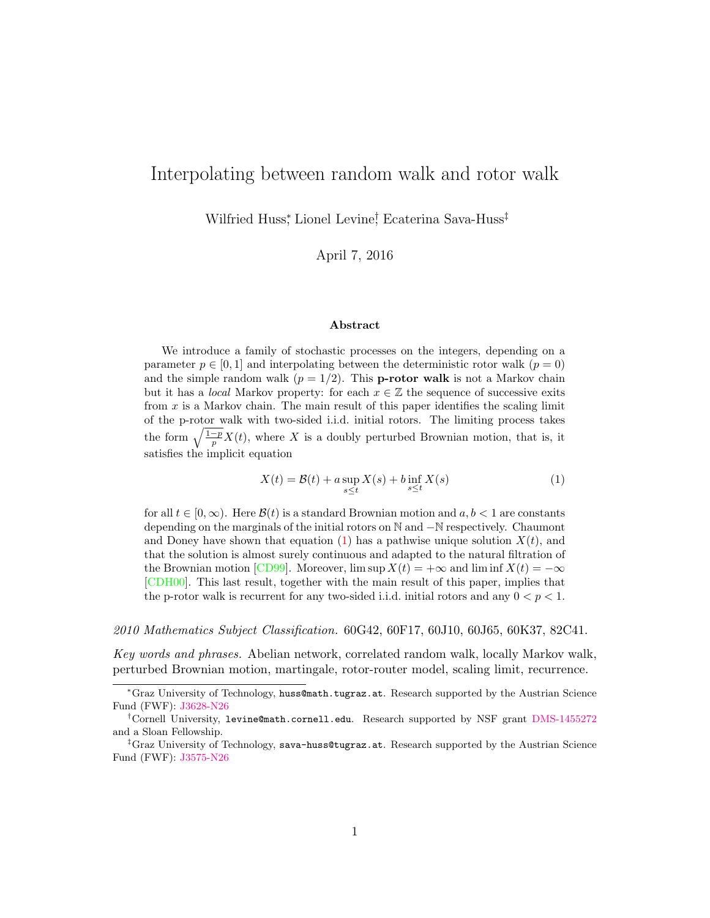# Interpolating between random walk and rotor walk

Wilfried Huss\* , Lionel Levine† , Ecaterina Sava-Huss‡

April 7, 2016

#### Abstract

We introduce a family of stochastic processes on the integers, depending on a parameter  $p \in [0,1]$  and interpolating between the deterministic rotor walk  $(p=0)$ and the simple random walk  $(p = 1/2)$ . This **p-rotor walk** is not a Markov chain but it has a *local* Markov property: for each  $x \in \mathbb{Z}$  the sequence of successive exits from  $x$  is a Markov chain. The main result of this paper identifies the scaling limit of the p-rotor walk with two-sided i.i.d. initial rotors. The limiting process takes the form  $\sqrt{\frac{1-p}{p}}X(t)$ , where X is a doubly perturbed Brownian motion, that is, it satisfies the implicit equation

<span id="page-0-0"></span>
$$
X(t) = \mathcal{B}(t) + a \sup_{s \le t} X(s) + b \inf_{s \le t} X(s)
$$
 (1)

for all  $t \in [0, \infty)$ . Here  $\mathcal{B}(t)$  is a standard Brownian motion and  $a, b < 1$  are constants depending on the marginals of the initial rotors on ℕ and −ℕ respectively. Chaumont and Doney have shown that equation [\(1\)](#page-0-0) has a pathwise unique solution  $X(t)$ , and that the solution is almost surely continuous and adapted to the natural filtration of the Brownian motion  $[\text{CD99}]$ . Moreover,  $\limsup X(t) = +\infty$  and  $\liminf X(t) = -\infty$ [\[CDH00\]](#page-19-1). This last result, together with the main result of this paper, implies that the p-rotor walk is recurrent for any two-sided i.i.d. initial rotors and any  $0 < p < 1$ .

2010 Mathematics Subject Classification. 60G42, 60F17, 60J10, 60J65, 60K37, 82C41.

Key words and phrases. Abelian network, correlated random walk, locally Markov walk, perturbed Brownian motion, martingale, rotor-router model, scaling limit, recurrence.

<sup>\*</sup>Graz University of Technology, huss@math.tugraz.at. Research supported by the Austrian Science Fund (FWF): [J3628-N26](http://pf.fwf.ac.at/en/research-in-practice/in-the-spotlight-schroedinger/list-of-schroedinger-fellows/2014/8523)

<sup>†</sup>Cornell University, levine@math.cornell.edu. Research supported by NSF grant [DMS-1455272](http://www.nsf.gov/awardsearch/showAward?AWD_ID=1455272) and a Sloan Fellowship.

<sup>‡</sup>Graz University of Technology, sava-huss@tugraz.at. Research supported by the Austrian Science Fund (FWF): [J3575-N26](http://pf.fwf.ac.at/en/research-in-practice/in-the-spotlight-schroedinger/list-of-schroedinger-fellows/2014/210946)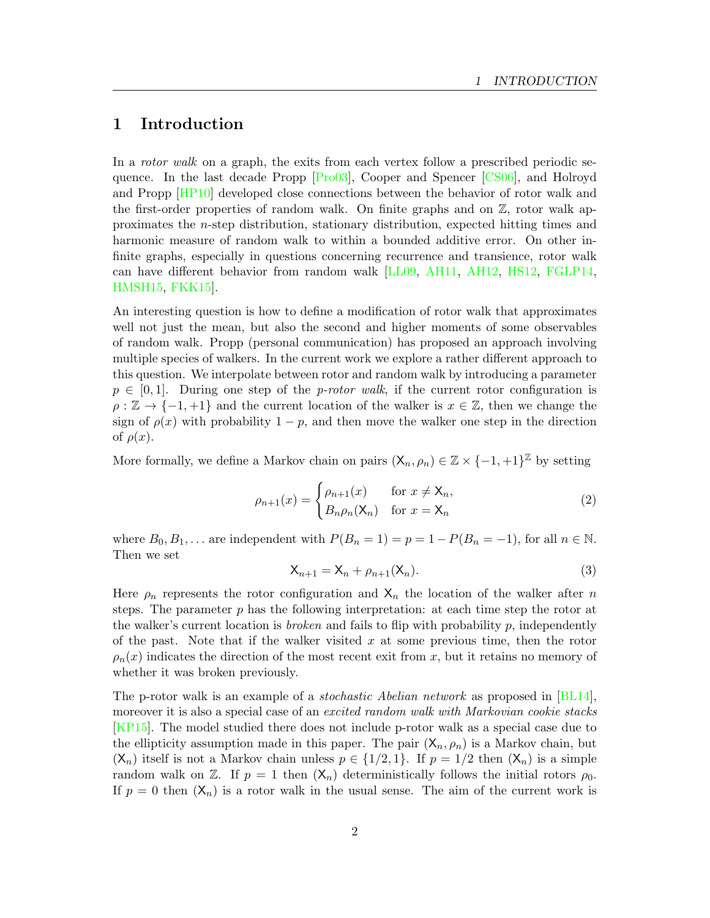#### 1 Introduction

In a rotor walk on a graph, the exits from each vertex follow a prescribed periodic sequence. In the last decade Propp [\[Pro03\]](#page-21-0), Cooper and Spencer [\[CS06\]](#page-20-0), and Holroyd and Propp [\[HP10\]](#page-20-1) developed close connections between the behavior of rotor walk and the first-order properties of random walk. On finite graphs and on  $\mathbb{Z}$ , rotor walk approximates the  $n$ -step distribution, stationary distribution, expected hitting times and harmonic measure of random walk to within a bounded additive error. On other infinite graphs, especially in questions concerning recurrence and transience, rotor walk can have different behavior from random walk [\[LL09,](#page-21-1) [AH11,](#page-19-2) [AH12,](#page-19-3) [HS12,](#page-21-2) [FGLP14,](#page-20-2) [HMSH15,](#page-20-3) [FKK15\]](#page-20-4).

An interesting question is how to define a modification of rotor walk that approximates well not just the mean, but also the second and higher moments of some observables of random walk. Propp (personal communication) has proposed an approach involving multiple species of walkers. In the current work we explore a rather different approach to this question. We interpolate between rotor and random walk by introducing a parameter  $p \in [0, 1]$ . During one step of the *p-rotor walk*, if the current rotor configuration is  $\rho : \mathbb{Z} \to \{-1, +1\}$  and the current location of the walker is  $x \in \mathbb{Z}$ , then we change the sign of  $\rho(x)$  with probability  $1 - p$ , and then move the walker one step in the direction of  $\rho(x)$ .

More formally, we define a Markov chain on pairs  $(X_n, \rho_n) \in \mathbb{Z} \times \{-1, +1\}^{\mathbb{Z}}$  by setting

$$
\rho_{n+1}(x) = \begin{cases} \rho_{n+1}(x) & \text{for } x \neq \mathsf{X}_n, \\ B_n \rho_n(\mathsf{X}_n) & \text{for } x = \mathsf{X}_n \end{cases}
$$
 (2)

<span id="page-1-0"></span>where  $B_0, B_1, \ldots$  are independent with  $P(B_n = 1) = p = 1 - P(B_n = -1)$ , for all  $n \in \mathbb{N}$ . Then we set

$$
\mathsf{X}_{n+1} = \mathsf{X}_n + \rho_{n+1}(\mathsf{X}_n). \tag{3}
$$

Here  $\rho_n$  represents the rotor configuration and  $X_n$  the location of the walker after n steps. The parameter  $p$  has the following interpretation: at each time step the rotor at the walker's current location is *broken* and fails to flip with probability  $p$ , independently of the past. Note that if the walker visited  $x$  at some previous time, then the rotor  $\rho_n(x)$  indicates the direction of the most recent exit from x, but it retains no memory of whether it was broken previously.

The p-rotor walk is an example of a *stochastic Abelian network* as proposed in [\[BL14\]](#page-19-4), moreover it is also a special case of an *excited random walk with Markovian cookie stacks* [\[KP15\]](#page-21-3). The model studied there does not include p-rotor walk as a special case due to the ellipticity assumption made in this paper. The pair  $(X_n, \rho_n)$  is a Markov chain, but  $(X_n)$  itself is not a Markov chain unless  $p \in \{1/2, 1\}$ . If  $p = 1/2$  then  $(X_n)$  is a simple random walk on Z. If  $p = 1$  then  $(X_n)$  deterministically follows the initial rotors  $\rho_0$ . If  $p = 0$  then  $(X_n)$  is a rotor walk in the usual sense. The aim of the current work is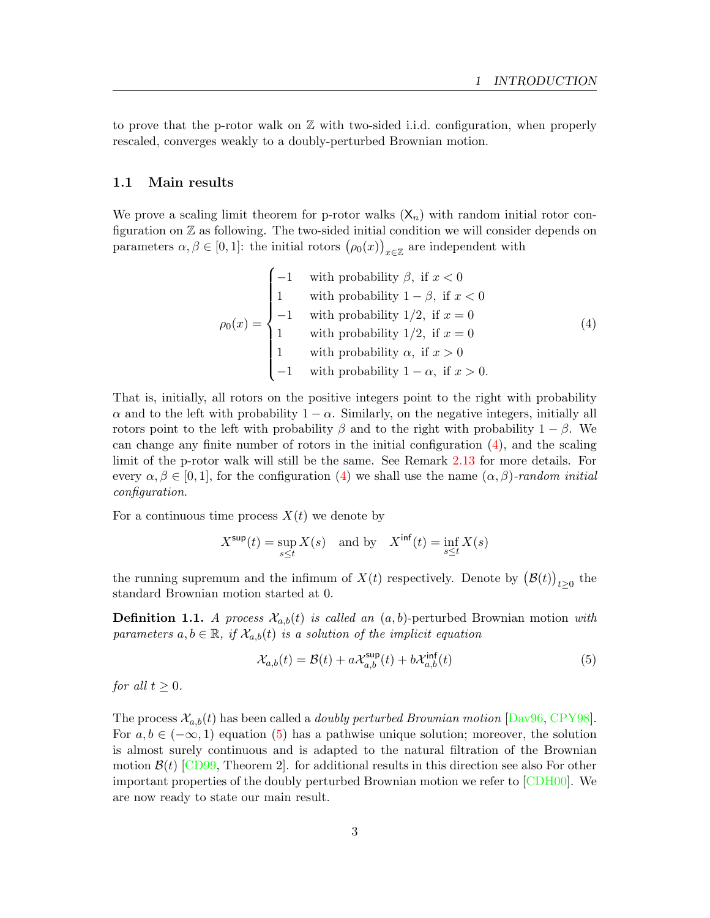to prove that the p-rotor walk on  $Z$  with two-sided i.i.d. configuration, when properly rescaled, converges weakly to a doubly-perturbed Brownian motion.

#### 1.1 Main results

We prove a scaling limit theorem for p-rotor walks  $(X_n)$  with random initial rotor configuration on Z as following. The two-sided initial condition we will consider depends on parameters  $\alpha, \beta \in [0, 1]$ : the initial rotors  $(\rho_0(x))_{x \in \mathbb{Z}}$  are independent with

<span id="page-2-0"></span>
$$
\rho_0(x) = \begin{cases}\n-1 & \text{with probability } \beta, \text{ if } x < 0 \\
1 & \text{with probability } 1 - \beta, \text{ if } x < 0 \\
-1 & \text{with probability } 1/2, \text{ if } x = 0 \\
1 & \text{with probability } 1/2, \text{ if } x = 0 \\
1 & \text{with probability } \alpha, \text{ if } x > 0 \\
-1 & \text{with probability } 1 - \alpha, \text{ if } x > 0.\n\end{cases} \tag{4}
$$

That is, initially, all rotors on the positive integers point to the right with probability  $\alpha$  and to the left with probability  $1 - \alpha$ . Similarly, on the negative integers, initially all rotors point to the left with probability  $\beta$  and to the right with probability  $1 - \beta$ . We can change any finite number of rotors in the initial configuration [\(4\)](#page-2-0), and the scaling limit of the p-rotor walk will still be the same. See Remark [2.13](#page-17-0) for more details. For every  $\alpha, \beta \in [0, 1]$ , for the configuration [\(4\)](#page-2-0) we shall use the name  $(\alpha, \beta)$ -random initial configuration.

For a continuous time process  $X(t)$  we denote by

$$
X^{\text{sup}}(t) = \sup_{s \le t} X(s) \quad \text{and by} \quad X^{\text{inf}}(t) = \inf_{s \le t} X(s)
$$

the running supremum and the infimum of  $X(t)$  respectively. Denote by  $(\mathcal{B}(t))_{t\geq 0}$  the standard Brownian motion started at 0.

**Definition 1.1.** A process  $\mathcal{X}_{a,b}(t)$  is called an  $(a, b)$ -perturbed Brownian motion with parameters  $a, b \in \mathbb{R}$ , if  $\mathcal{X}_{a,b}(t)$  is a solution of the implicit equation

<span id="page-2-1"></span>
$$
\mathcal{X}_{a,b}(t) = \mathcal{B}(t) + a\mathcal{X}_{a,b}^{\text{sup}}(t) + b\mathcal{X}_{a,b}^{\text{inf}}(t)
$$
\n
$$
\tag{5}
$$

for all  $t \geq 0$ .

<span id="page-2-2"></span>The process  $\mathcal{X}_{a,b}(t)$  has been called a *doubly perturbed Brownian motion* [\[Dav96,](#page-20-5) [CPY98\]](#page-20-6). For  $a, b \in (-\infty, 1)$  equation [\(5\)](#page-2-1) has a pathwise unique solution; moreover, the solution is almost surely continuous and is adapted to the natural filtration of the Brownian motion  $\mathcal{B}(t)$  [\[CD99,](#page-19-0) Theorem 2]. for additional results in this direction see also For other important properties of the doubly perturbed Brownian motion we refer to [\[CDH00\]](#page-19-1). We are now ready to state our main result.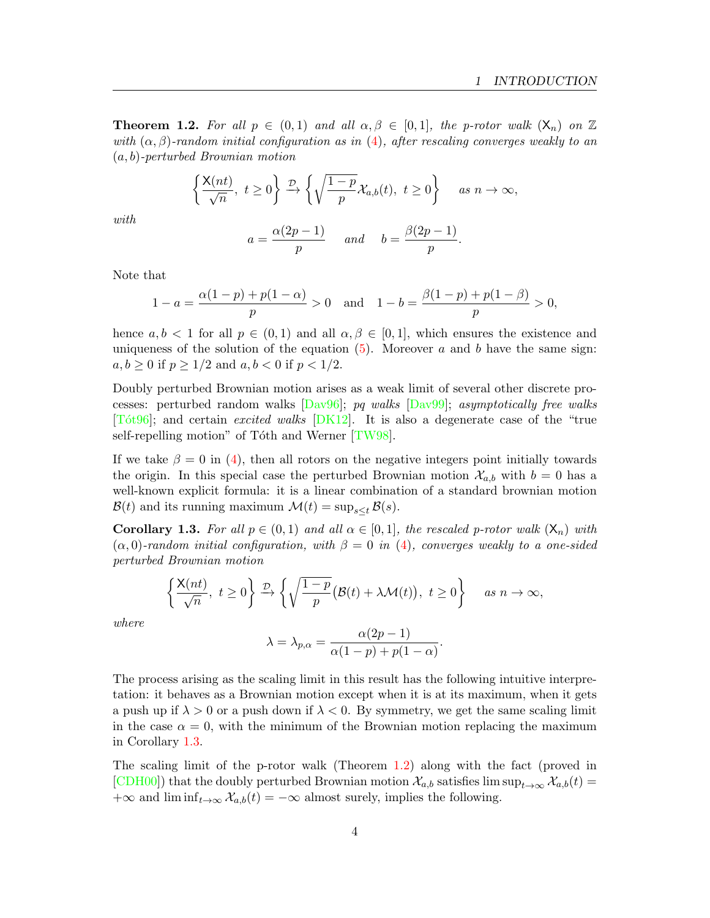**Theorem 1.2.** For all  $p \in (0,1)$  and all  $\alpha, \beta \in [0,1]$ , the p-rotor walk  $(X_n)$  on  $\mathbb{Z}$ with  $(\alpha, \beta)$ -random initial configuration as in [\(4\)](#page-2-0), after rescaling converges weakly to an  $(a, b)$ -perturbed Brownian motion

$$
\left\{\frac{\mathsf{X}(nt)}{\sqrt{n}},\ t\geq 0\right\} \xrightarrow{\mathcal{D}} \left\{\sqrt{\frac{1-p}{p}}\mathcal{X}_{a,b}(t),\ t\geq 0\right\} \quad as\ n\to\infty,
$$

with

$$
a = \frac{\alpha(2p-1)}{p} \quad \text{and} \quad b = \frac{\beta(2p-1)}{p}.
$$

Note that

$$
1 - a = \frac{\alpha(1 - p) + p(1 - \alpha)}{p} > 0 \quad \text{and} \quad 1 - b = \frac{\beta(1 - p) + p(1 - \beta)}{p} > 0,
$$

hence  $a, b < 1$  for all  $p \in (0, 1)$  and all  $\alpha, \beta \in [0, 1]$ , which ensures the existence and uniqueness of the solution of the equation  $(5)$ . Moreover a and b have the same sign:  $a, b \ge 0$  if  $p \ge 1/2$  and  $a, b < 0$  if  $p < 1/2$ .

Doubly perturbed Brownian motion arises as a weak limit of several other discrete processes: perturbed random walks [\[Dav96\]](#page-20-5); pq walks [\[Dav99\]](#page-20-7); asymptotically free walks [\[To´t96\]](#page-21-4); and certain excited walks [\[DK12\]](#page-20-8). It is also a degenerate case of the "true self-repelling motion" of Tóth and Werner  $[TW98]$ .

If we take  $\beta = 0$  in [\(4\)](#page-2-0), then all rotors on the negative integers point initially towards the origin. In this special case the perturbed Brownian motion  $\mathcal{X}_{a,b}$  with  $b=0$  has a well-known explicit formula: it is a linear combination of a standard brownian motion  $\mathcal{B}(t)$  and its running maximum  $\mathcal{M}(t) = \sup_{s \leq t} \mathcal{B}(s)$ .

<span id="page-3-0"></span>**Corollary 1.3.** For all  $p \in (0,1)$  and all  $\alpha \in [0,1]$ , the rescaled p-rotor walk  $(X_n)$  with  $(\alpha, 0)$ -random initial configuration, with  $\beta = 0$  in [\(4\)](#page-2-0), converges weakly to a one-sided perturbed Brownian motion

$$
\left\{\frac{\mathsf{X}(nt)}{\sqrt{n}},\ t\geq 0\right\} \xrightarrow{\mathcal{D}} \left\{\sqrt{\frac{1-p}{p}}\big(\mathcal{B}(t)+\lambda\mathcal{M}(t)\big),\ t\geq 0\right\} \quad as\ n\to\infty,
$$

where

$$
\lambda = \lambda_{p,\alpha} = \frac{\alpha(2p-1)}{\alpha(1-p) + p(1-\alpha)}.
$$

The process arising as the scaling limit in this result has the following intuitive interpretation: it behaves as a Brownian motion except when it is at its maximum, when it gets a push up if  $\lambda > 0$  or a push down if  $\lambda < 0$ . By symmetry, we get the same scaling limit in the case  $\alpha = 0$ , with the minimum of the Brownian motion replacing the maximum in Corollary [1.3.](#page-3-0)

<span id="page-3-1"></span>The scaling limit of the p-rotor walk (Theorem [1.2\)](#page-2-2) along with the fact (proved in [\[CDH00\]](#page-19-1)) that the doubly perturbed Brownian motion  $\mathcal{X}_{a,b}$  satisfies lim sup $_{t\to\infty}$   $\mathcal{X}_{a,b}(t)$  = +∞ and  $\liminf_{t\to\infty} \mathcal{X}_{a,b}(t) = -\infty$  almost surely, implies the following.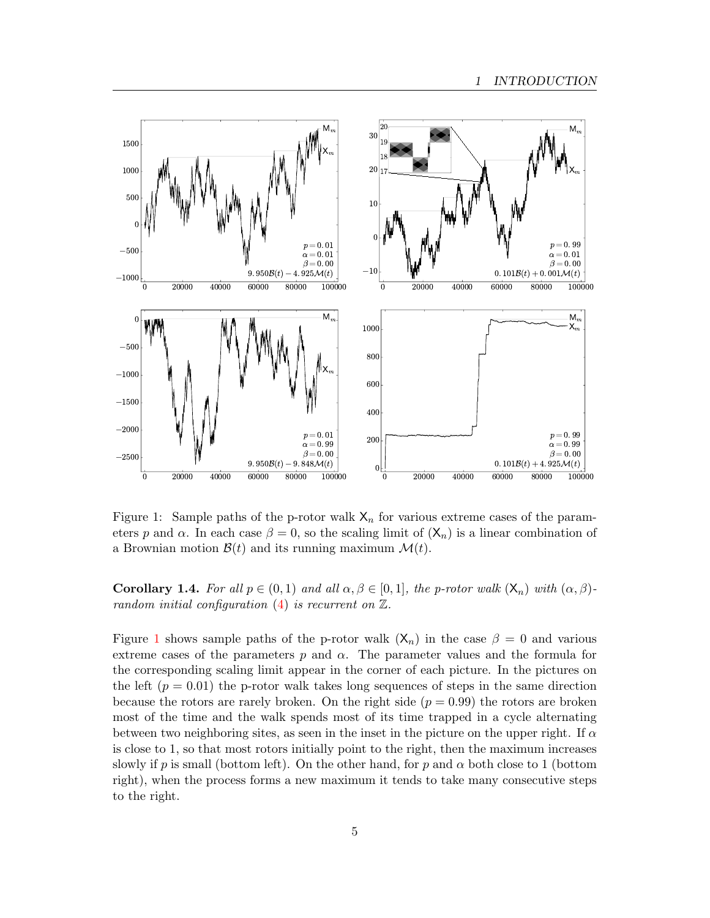<span id="page-4-0"></span>

Figure 1: Sample paths of the p-rotor walk  $X_n$  for various extreme cases of the parameters p and  $\alpha$ . In each case  $\beta = 0$ , so the scaling limit of  $(\mathsf{X}_n)$  is a linear combination of a Brownian motion  $\mathcal{B}(t)$  and its running maximum  $\mathcal{M}(t)$ .

**Corollary 1.4.** For all  $p \in (0,1)$  and all  $\alpha, \beta \in [0,1]$ , the p-rotor walk  $(X_n)$  with  $(\alpha, \beta)$ random initial configuration  $(4)$  is recurrent on  $\mathbb{Z}$ .

Figure [1](#page-4-0) shows sample paths of the p-rotor walk  $(X_n)$  in the case  $\beta = 0$  and various extreme cases of the parameters  $p$  and  $\alpha$ . The parameter values and the formula for the corresponding scaling limit appear in the corner of each picture. In the pictures on the left  $(p = 0.01)$  the p-rotor walk takes long sequences of steps in the same direction because the rotors are rarely broken. On the right side  $(p = 0.99)$  the rotors are broken most of the time and the walk spends most of its time trapped in a cycle alternating between two neighboring sites, as seen in the inset in the picture on the upper right. If  $\alpha$ is close to 1, so that most rotors initially point to the right, then the maximum increases slowly if p is small (bottom left). On the other hand, for p and  $\alpha$  both close to 1 (bottom right), when the process forms a new maximum it tends to take many consecutive steps to the right.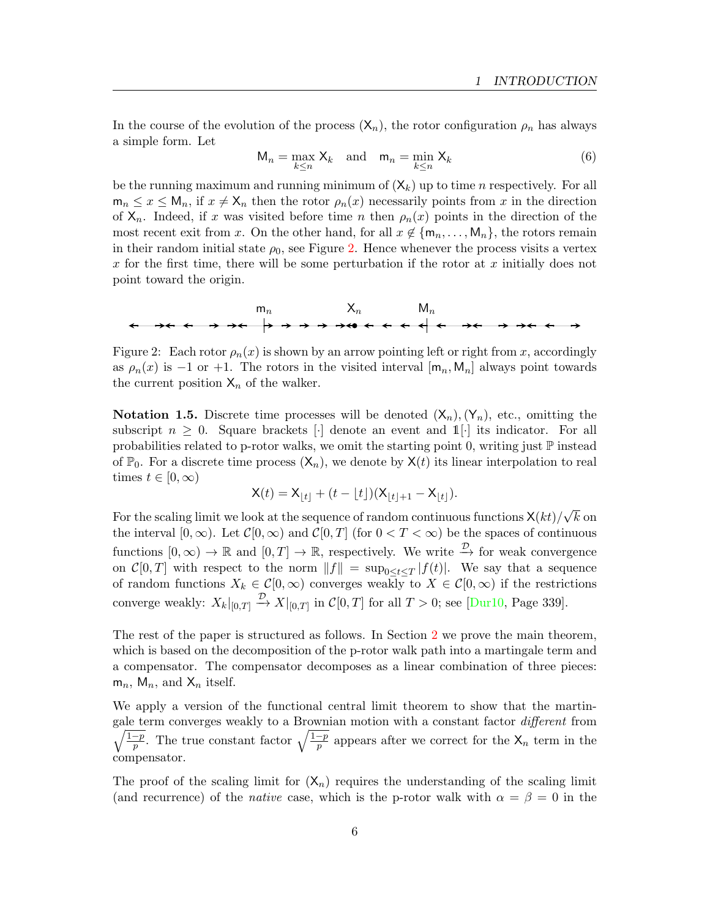In the course of the evolution of the process  $(X_n)$ , the rotor configuration  $\rho_n$  has always a simple form. Let

$$
M_n = \max_{k \le n} X_k \quad \text{and} \quad m_n = \min_{k \le n} X_k \tag{6}
$$

be the running maximum and running minimum of  $(X_k)$  up to time *n* respectively. For all  $m_n \leq x \leq M_n$ , if  $x \neq X_n$  then the rotor  $\rho_n(x)$  necessarily points from x in the direction of  $X_n$ . Indeed, if x was visited before time n then  $\rho_n(x)$  points in the direction of the most recent exit from x. On the other hand, for all  $x \notin \{m_n, \ldots, M_n\}$ , the rotors remain in their random initial state  $\rho_0$ , see Figure [2.](#page-5-0) Hence whenever the process visits a vertex  $x$  for the first time, there will be some perturbation if the rotor at  $x$  initially does not point toward the origin.

<span id="page-5-0"></span>

Figure 2: Each rotor  $\rho_n(x)$  is shown by an arrow pointing left or right from x, accordingly as  $\rho_n(x)$  is −1 or +1. The rotors in the visited interval  $[m_n, M_n]$  always point towards the current position  $X_n$  of the walker.

**Notation 1.5.** Discrete time processes will be denoted  $(X_n), (Y_n)$ , etc., omitting the subscript  $n \geq 0$ . Square brackets [·] denote an event and  $\mathbb{1}[\cdot]$  its indicator. For all probabilities related to p-rotor walks, we omit the starting point 0, writing just ℙ instead of  $\mathbb{P}_0$ . For a discrete time process  $(\mathsf{X}_n)$ , we denote by  $\mathsf{X}(t)$  its linear interpolation to real times  $t \in [0, \infty)$ 

$$
X(t) = X_{|t|} + (t - \lfloor t \rfloor)(X_{|t|+1} - X_{|t|}).
$$

For the scaling limit we look at the sequence of random continuous functions  $\mathsf{X}(kt)/\mathsf{X}(t)$ √  $k$  on the interval  $[0, \infty)$ . Let  $\mathcal{C}[0, \infty)$  and  $\mathcal{C}[0, T]$  (for  $0 < T < \infty$ ) be the spaces of continuous functions  $[0, \infty) \to \mathbb{R}$  and  $[0, T] \to \mathbb{R}$ , respectively. We write  $\stackrel{\mathcal{D}}{\to}$  for weak convergence on  $\mathcal{C}[0,T]$  with respect to the norm  $||f|| = \sup_{0 \le t \le T} |f(t)|$ . We say that a sequence of random functions  $X_k \in \mathcal{C}[0,\infty)$  converges weakly to  $X \in \mathcal{C}[0,\infty)$  if the restrictions converge weakly:  $X_k|_{[0,T]} \stackrel{\mathcal{D}}{\rightarrow} X|_{[0,T]}$  in  $\mathcal{C}[0,T]$  for all  $T > 0$ ; see [\[Dur10,](#page-20-9) Page 339].

The rest of the paper is structured as follows. In Section [2](#page-6-0) we prove the main theorem, which is based on the decomposition of the p-rotor walk path into a martingale term and a compensator. The compensator decomposes as a linear combination of three pieces:  $m_n$ ,  $M_n$ , and  $X_n$  itself.

We apply a version of the functional central limit theorem to show that the martin-  $\sqrt{1-p}$ gale term converges weakly to a Brownian motion with a constant factor different from  $\frac{-p}{p}$ . The true constant factor  $\sqrt{\frac{1-p}{p}}$  appears after we correct for the  $\mathsf{X}_n$  term in the compensator.

The proof of the scaling limit for  $(X_n)$  requires the understanding of the scaling limit (and recurrence) of the *native* case, which is the p-rotor walk with  $\alpha = \beta = 0$  in the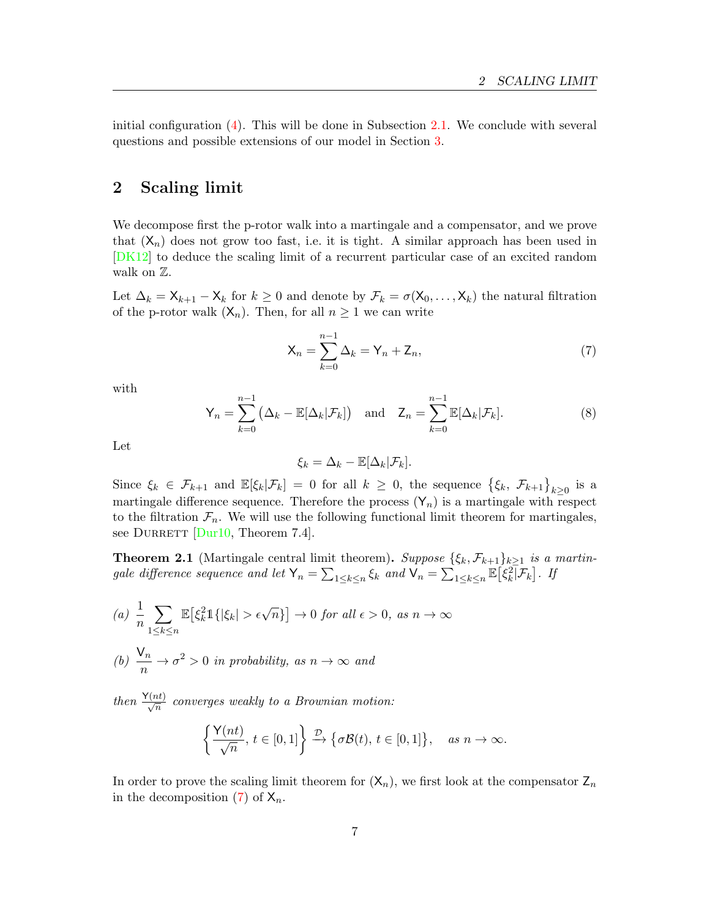initial configuration  $(4)$ . This will be done in Subsection [2.1.](#page-9-0) We conclude with several questions and possible extensions of our model in Section [3.](#page-18-0)

## <span id="page-6-0"></span>2 Scaling limit

We decompose first the p-rotor walk into a martingale and a compensator, and we prove that  $(X_n)$  does not grow too fast, i.e. it is tight. A similar approach has been used in [\[DK12\]](#page-20-8) to deduce the scaling limit of a recurrent particular case of an excited random walk on  $\mathbb{Z}$ .

Let  $\Delta_k = \mathsf{X}_{k+1} - \mathsf{X}_k$  for  $k \geq 0$  and denote by  $\mathcal{F}_k = \sigma(\mathsf{X}_0, \ldots, \mathsf{X}_k)$  the natural filtration of the p-rotor walk  $(\mathsf{X}_n)$ . Then, for all  $n \geq 1$  we can write

<span id="page-6-1"></span>
$$
\mathsf{X}_n = \sum_{k=0}^{n-1} \Delta_k = \mathsf{Y}_n + \mathsf{Z}_n,\tag{7}
$$

<span id="page-6-4"></span>with

$$
\mathsf{Y}_n = \sum_{k=0}^{n-1} \left( \Delta_k - \mathbb{E}[\Delta_k | \mathcal{F}_k] \right) \quad \text{and} \quad \mathsf{Z}_n = \sum_{k=0}^{n-1} \mathbb{E}[\Delta_k | \mathcal{F}_k]. \tag{8}
$$

Let

$$
\xi_k = \Delta_k - \mathbb{E}[\Delta_k | \mathcal{F}_k].
$$

Since  $\xi_k \in \mathcal{F}_{k+1}$  and  $\mathbb{E}[\xi_k|\mathcal{F}_k] = 0$  for all  $k \geq 0$ , the sequence  $\{\xi_k, \mathcal{F}_{k+1}\}_{k \geq 0}$  is a martingale difference sequence. Therefore the process  $(Y_n)$  is a martingale with respect to the filtration  $\mathcal{F}_n$ . We will use the following functional limit theorem for martingales, see DURRETT  $Durl0$ , Theorem 7.4.

<span id="page-6-3"></span>**Theorem 2.1** (Martingale central limit theorem). Suppose  $\{\xi_k, \mathcal{F}_{k+1}\}_{k>1}$  is a martingale difference sequence and let  $\mathsf{Y}_n = \sum_{1 \leq k \leq n} \xi_k$  and  $\mathsf{V}_n = \sum_{1 \leq k \leq n} \mathbb{E} \big[ \xi_k^2 \big] \mathcal{F}_k \big]$ . If

(a) 
$$
\frac{1}{n} \sum_{1 \le k \le n} \mathbb{E} \left[ \xi_k^2 \mathbb{1} \{ |\xi_k| > \epsilon \sqrt{n} \} \right] \to 0 \text{ for all } \epsilon > 0, \text{ as } n \to \infty
$$
  
(b)  $\frac{\mathsf{V}_n}{n} \to \sigma^2 > 0 \text{ in probability, as } n \to \infty \text{ and}$ 

then  $\frac{\mathsf{Y}(nt)}{\sqrt{n}}$  converges weakly to a Brownian motion:

$$
\left\{\frac{\mathsf{Y}(nt)}{\sqrt{n}},\, t\in[0,1]\right\} \xrightarrow{\mathcal{D}} \left\{\sigma \mathcal{B}(t),\, t\in[0,1]\right\}, \quad \text{as } n \to \infty.
$$

<span id="page-6-2"></span>In order to prove the scaling limit theorem for  $(X_n)$ , we first look at the compensator  $Z_n$ in the decomposition [\(7\)](#page-6-1) of  $X_n$ .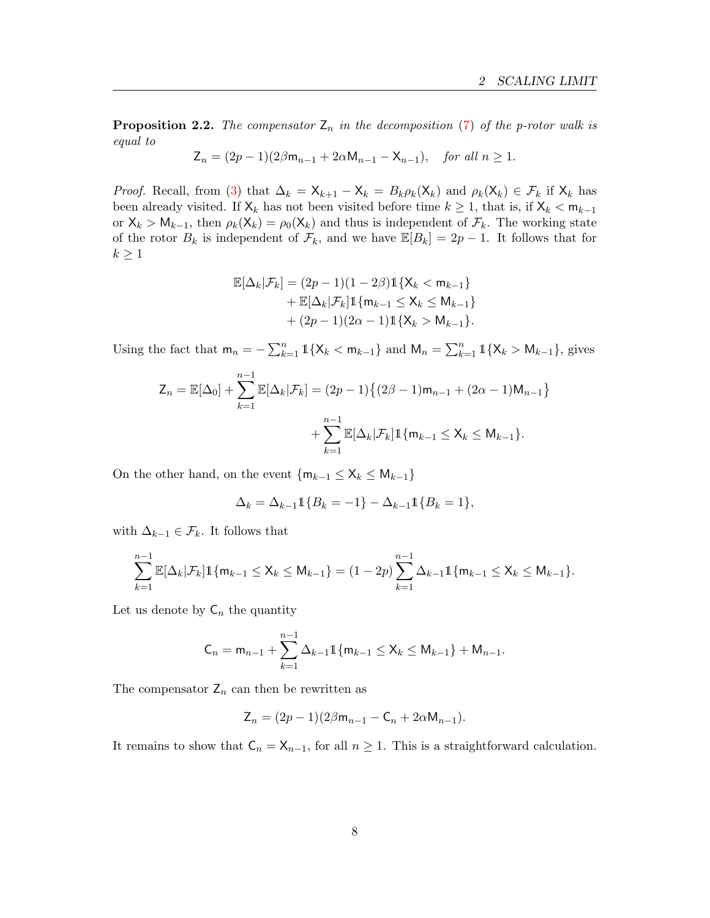**Proposition 2.2.** The compensator  $\mathsf{Z}_n$  in the decomposition [\(7\)](#page-6-1) of the p-rotor walk is equal to

$$
Z_n = (2p - 1)(2\beta m_{n-1} + 2\alpha M_{n-1} - X_{n-1}), \quad \text{for all } n \ge 1.
$$

*Proof.* Recall, from [\(3\)](#page-1-0) that  $\Delta_k = \mathsf{X}_{k+1} - \mathsf{X}_k = B_k \rho_k(\mathsf{X}_k)$  and  $\rho_k(\mathsf{X}_k) \in \mathcal{F}_k$  if  $\mathsf{X}_k$  has been already visited. If  $X_k$  has not been visited before time  $k \geq 1$ , that is, if  $X_k < m_{k-1}$ or  $X_k > M_{k-1}$ , then  $\rho_k(X_k) = \rho_0(X_k)$  and thus is independent of  $\mathcal{F}_k$ . The working state of the rotor  $B_k$  is independent of  $\mathcal{F}_k$ , and we have  $\mathbb{E}[B_k] = 2p - 1$ . It follows that for  $k\geq 1$ 

$$
\mathbb{E}[\Delta_k|\mathcal{F}_k] = (2p - 1)(1 - 2\beta)\mathbb{1}\{X_k < m_{k-1}\} \n+ \mathbb{E}[\Delta_k|\mathcal{F}_k]\mathbb{1}\{m_{k-1} \le X_k \le M_{k-1}\} \n+ (2p - 1)(2\alpha - 1)\mathbb{1}\{X_k > M_{k-1}\}.
$$

Using the fact that  $m_n = -\sum_{k=1}^n 1\{X_k < m_{k-1}\}\$  and  $M_n = \sum_{k=1}^n 1\{X_k > M_{k-1}\}\$ , gives

$$
Z_n = \mathbb{E}[\Delta_0] + \sum_{k=1}^{n-1} \mathbb{E}[\Delta_k | \mathcal{F}_k] = (2p - 1) \{ (2\beta - 1) \mathsf{m}_{n-1} + (2\alpha - 1) \mathsf{M}_{n-1} \} + \sum_{k=1}^{n-1} \mathbb{E}[\Delta_k | \mathcal{F}_k] \mathbb{1} \{ \mathsf{m}_{k-1} \le X_k \le \mathsf{M}_{k-1} \}.
$$

On the other hand, on the event  $\{m_{k-1} \le X_k \le M_{k-1}\}\$ 

$$
\Delta_k = \Delta_{k-1} \mathbb{1}\{B_k = -1\} - \Delta_{k-1} \mathbb{1}\{B_k = 1\},\
$$

with  $\Delta_{k-1} \in \mathcal{F}_k$ . It follows that

$$
\sum_{k=1}^{n-1} \mathbb{E}[\Delta_k | \mathcal{F}_k] \mathbb{1}\{m_{k-1} \le X_k \le M_{k-1}\} = (1-2p) \sum_{k=1}^{n-1} \Delta_{k-1} \mathbb{1}\{m_{k-1} \le X_k \le M_{k-1}\}.
$$

Let us denote by  $C_n$  the quantity

$$
C_n = m_{n-1} + \sum_{k=1}^{n-1} \Delta_{k-1} 1 \{ m_{k-1} \le X_k \le M_{k-1} \} + M_{n-1}.
$$

The compensator  $\mathsf{Z}_n$  can then be rewritten as

$$
Z_n = (2p - 1)(2\beta m_{n-1} - C_n + 2\alpha M_{n-1}).
$$

It remains to show that  $C_n = X_{n-1}$ , for all  $n \geq 1$ . This is a straightforward calculation.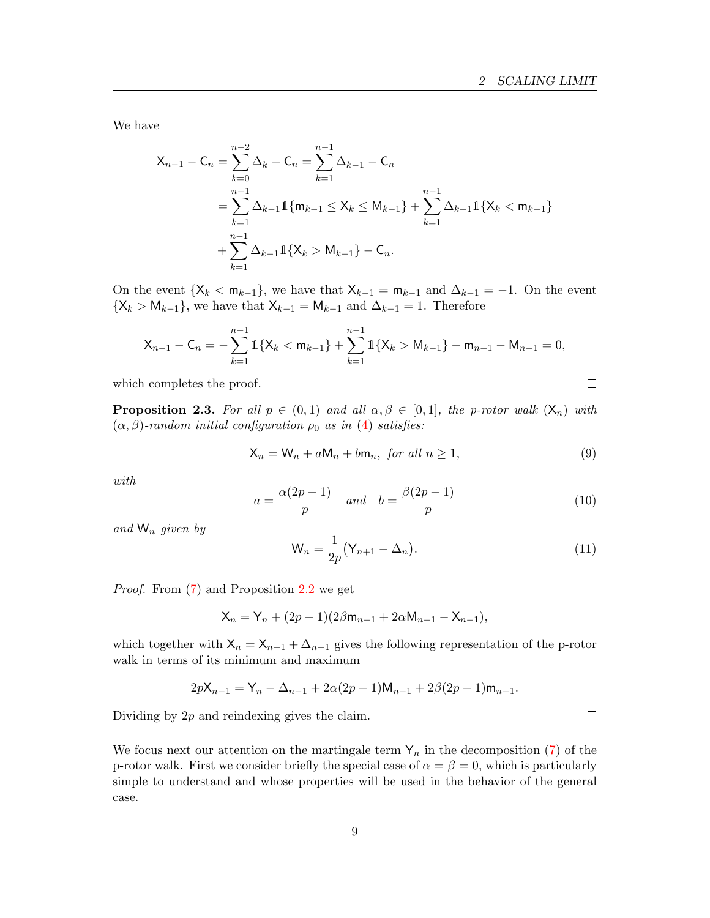We have

$$
\mathsf{X}_{n-1} - \mathsf{C}_n = \sum_{k=0}^{n-2} \Delta_k - \mathsf{C}_n = \sum_{k=1}^{n-1} \Delta_{k-1} - \mathsf{C}_n
$$
  
= 
$$
\sum_{k=1}^{n-1} \Delta_{k-1} \mathbb{1} \{ \mathsf{m}_{k-1} \leq \mathsf{X}_k \leq \mathsf{M}_{k-1} \} + \sum_{k=1}^{n-1} \Delta_{k-1} \mathbb{1} \{ \mathsf{X}_k < \mathsf{m}_{k-1} \}
$$
  
+ 
$$
\sum_{k=1}^{n-1} \Delta_{k-1} \mathbb{1} \{ \mathsf{X}_k > \mathsf{M}_{k-1} \} - \mathsf{C}_n.
$$

On the event  $\{X_k < m_{k-1}\}\$ , we have that  $X_{k-1} = m_{k-1}$  and  $\Delta_{k-1} = -1$ . On the event  $\{X_k > M_{k-1}\}\$ , we have that  $X_{k-1} = M_{k-1}$  and  $\Delta_{k-1} = 1$ . Therefore

$$
X_{n-1}-C_n=-\sum_{k=1}^{n-1} 1\{X_k < m_{k-1}\} + \sum_{k=1}^{n-1} 1\{X_k > M_{k-1}\}-m_{n-1}-M_{n-1} = 0,
$$

which completes the proof.

<span id="page-8-0"></span>**Proposition 2.3.** For all  $p \in (0,1)$  and all  $\alpha, \beta \in [0,1]$ , the p-rotor walk  $(X_n)$  with  $(\alpha, \beta)$ -random initial configuration  $\rho_0$  as in [\(4\)](#page-2-0) satisfies:

$$
\mathsf{X}_n = \mathsf{W}_n + a\mathsf{M}_n + b\mathsf{m}_n, \text{ for all } n \ge 1,
$$
\n<sup>(9)</sup>

with

$$
a = \frac{\alpha(2p-1)}{p} \quad and \quad b = \frac{\beta(2p-1)}{p} \tag{10}
$$

and  $W_n$  given by

$$
\mathsf{W}_n = \frac{1}{2p} \big( \mathsf{Y}_{n+1} - \Delta_n \big). \tag{11}
$$

Proof. From [\(7\)](#page-6-1) and Proposition [2.2](#page-6-2) we get

$$
X_n = Y_n + (2p - 1)(2\beta m_{n-1} + 2\alpha M_{n-1} - X_{n-1}),
$$

which together with  $X_n = X_{n-1} + \Delta_{n-1}$  gives the following representation of the p-rotor walk in terms of its minimum and maximum

$$
2p{\sf X}_{n-1}={\sf Y}_n-\Delta_{n-1}+2\alpha(2p-1){\sf M}_{n-1}+2\beta(2p-1){\sf m}_{n-1}.
$$

Dividing by  $2p$  and reindexing gives the claim.

We focus next our attention on the martingale term  $Y_n$  in the decomposition [\(7\)](#page-6-1) of the p-rotor walk. First we consider briefly the special case of  $\alpha = \beta = 0$ , which is particularly simple to understand and whose properties will be used in the behavior of the general case.

 $\Box$ 

<span id="page-8-1"></span> $\Box$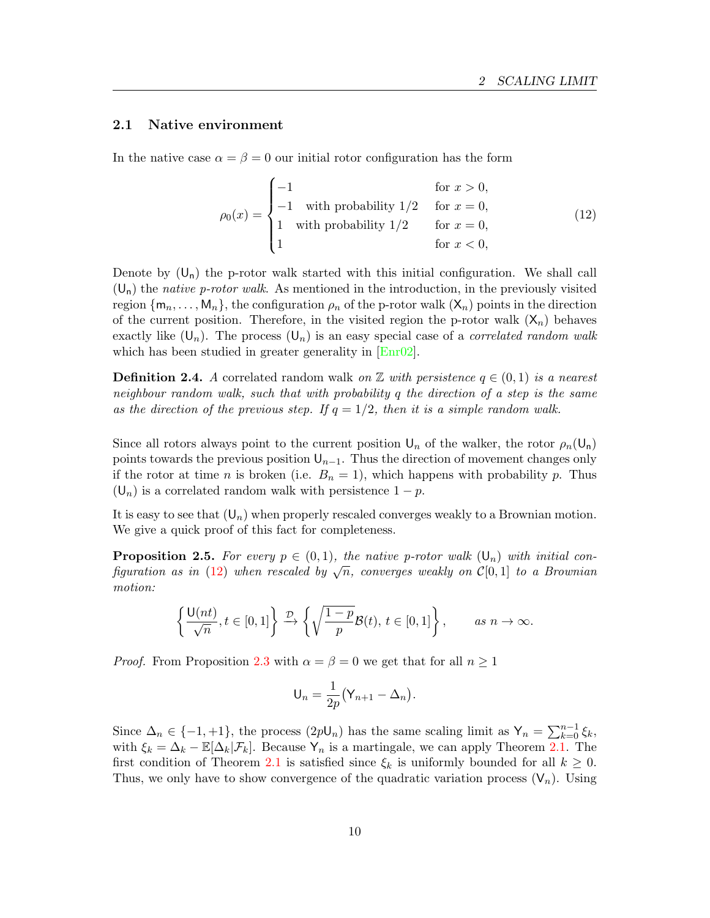#### <span id="page-9-0"></span>2.1 Native environment

In the native case  $\alpha = \beta = 0$  our initial rotor configuration has the form

<span id="page-9-1"></span>
$$
\rho_0(x) = \begin{cases}\n-1 & \text{for } x > 0, \\
-1 & \text{with probability } 1/2 & \text{for } x = 0, \\
1 & \text{with probability } 1/2 & \text{for } x = 0, \\
1 & \text{for } x < 0,\n\end{cases}
$$
\n(12)

Denote by  $(U_n)$  the p-rotor walk started with this initial configuration. We shall call  $(U_n)$  the native p-rotor walk. As mentioned in the introduction, in the previously visited region  $\{m_n, \ldots, M_n\}$ , the configuration  $\rho_n$  of the p-rotor walk  $(\mathsf{X}_n)$  points in the direction of the current position. Therefore, in the visited region the p-rotor walk  $(X_n)$  behaves exactly like  $(U_n)$ . The process  $(U_n)$  is an easy special case of a *correlated random walk* which has been studied in greater generality in  $[Enr02]$ .

<span id="page-9-2"></span>**Definition 2.4.** A correlated random walk on  $\mathbb{Z}$  with persistence  $q \in (0,1)$  is a nearest neighbour random walk, such that with probability  $q$  the direction of a step is the same as the direction of the previous step. If  $q = 1/2$ , then it is a simple random walk.

Since all rotors always point to the current position  $\mathsf{U}_n$  of the walker, the rotor  $\rho_n(\mathsf{U}_n)$ points towards the previous position  $\mathsf{U}_{n-1}$ . Thus the direction of movement changes only if the rotor at time *n* is broken (i.e.  $B_n = 1$ ), which happens with probability *p*. Thus  $(U_n)$  is a correlated random walk with persistence  $1 - p$ .

It is easy to see that  $(U_n)$  when properly rescaled converges weakly to a Brownian motion. We give a quick proof of this fact for completeness.

<span id="page-9-3"></span>**Proposition 2.5.** For every  $p \in (0, 1)$ , the native p-rotor walk  $(\mathsf{U}_p)$  with initial configuration as in [\(12\)](#page-9-1) when rescaled by <sup>√</sup> , converges weakly on [0, 1] to a Brownian motion:

$$
\left\{\frac{\mathsf{U}(nt)}{\sqrt{n}}, t \in [0,1]\right\} \xrightarrow{\mathcal{D}} \left\{\sqrt{\frac{1-p}{p}} \mathcal{B}(t), t \in [0,1]\right\}, \qquad \text{as } n \to \infty.
$$

*Proof.* From Proposition [2.3](#page-8-0) with  $\alpha = \beta = 0$  we get that for all  $n \ge 1$ 

$$
U_n = \frac{1}{2p}(Y_{n+1} - \Delta_n).
$$

Since  $\Delta_n \in \{-1, +1\}$ , the process  $(2p\mathsf{U}_n)$  has the same scaling limit as  $\mathsf{Y}_n = \sum_{k=0}^{n-1} \xi_k$ , with  $\xi_k = \Delta_k - \mathbb{E}[\Delta_k|\mathcal{F}_k]$ . Because  $Y_n$  is a martingale, we can apply Theorem [2.1.](#page-6-3) The first condition of Theorem [2.1](#page-6-3) is satisfied since  $\xi_k$  is uniformly bounded for all  $k \geq 0$ . Thus, we only have to show convergence of the quadratic variation process  $(V_n)$ . Using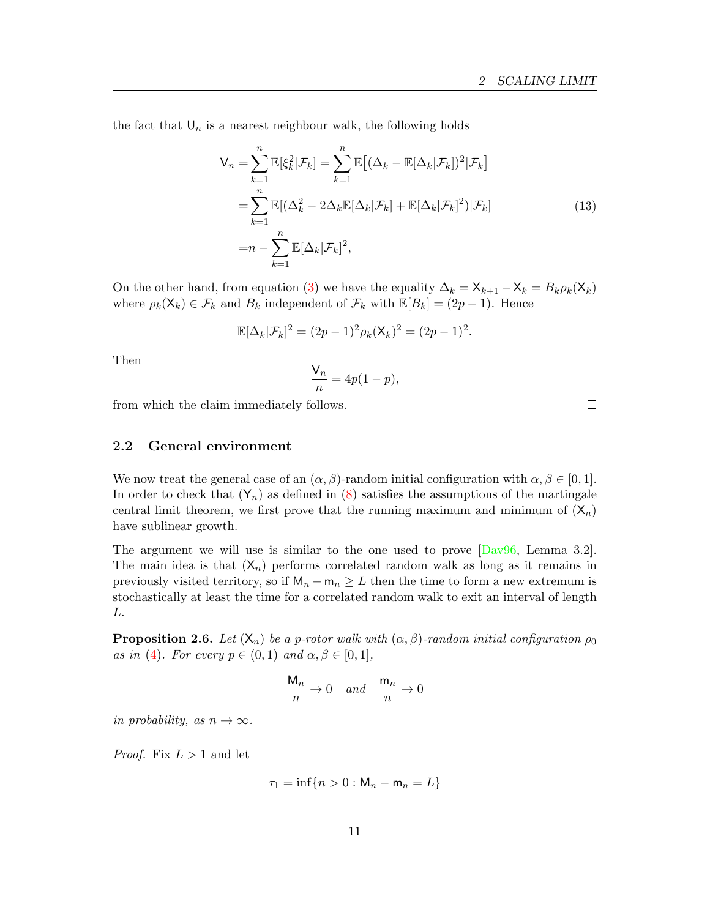the fact that  $\mathsf{U}_n$  is a nearest neighbour walk, the following holds

<span id="page-10-0"></span>
$$
\mathsf{V}_n = \sum_{k=1}^n \mathbb{E}[\xi_k^2 | \mathcal{F}_k] = \sum_{k=1}^n \mathbb{E}[(\Delta_k - \mathbb{E}[\Delta_k | \mathcal{F}_k])^2 | \mathcal{F}_k]
$$
  
\n
$$
= \sum_{k=1}^n \mathbb{E}[(\Delta_k^2 - 2\Delta_k \mathbb{E}[\Delta_k | \mathcal{F}_k] + \mathbb{E}[\Delta_k | \mathcal{F}_k]^2) | \mathcal{F}_k]
$$
  
\n
$$
= n - \sum_{k=1}^n \mathbb{E}[\Delta_k | \mathcal{F}_k]^2,
$$
\n(13)

On the other hand, from equation [\(3\)](#page-1-0) we have the equality  $\Delta_k = \mathsf{X}_{k+1} - \mathsf{X}_k = B_k \rho_k(\mathsf{X}_k)$ where  $\rho_k(\mathsf{X}_k) \in \mathcal{F}_k$  and  $B_k$  independent of  $\mathcal{F}_k$  with  $\mathbb{E}[B_k] = (2p - 1)$ . Hence

$$
\mathbb{E}[\Delta_k|\mathcal{F}_k]^2 = (2p-1)^2 \rho_k(\mathsf{X}_k)^2 = (2p-1)^2.
$$

Then

$$
\frac{\mathsf{V}_n}{n} = 4p(1-p),
$$

from which the claim immediately follows.

2.2 General environment

We now treat the general case of an  $(\alpha, \beta)$ -random initial configuration with  $\alpha, \beta \in [0, 1]$ . In order to check that  $(Y_n)$  as defined in [\(8\)](#page-6-4) satisfies the assumptions of the martingale central limit theorem, we first prove that the running maximum and minimum of  $(X_n)$ have sublinear growth.

The argument we will use is similar to the one used to prove  $\lceil \text{Day96}, \text{ Lemma } 3.2 \rceil$ . The main idea is that  $(X_n)$  performs correlated random walk as long as it remains in previously visited territory, so if  $M_n - m_n \geq L$  then the time to form a new extremum is stochastically at least the time for a correlated random walk to exit an interval of length L.

<span id="page-10-1"></span>**Proposition 2.6.** Let  $(X_n)$  be a p-rotor walk with  $(\alpha, \beta)$ -random initial configuration  $\rho_0$ as in [\(4\)](#page-2-0). For every  $p \in (0,1)$  and  $\alpha, \beta \in [0,1],$ 

$$
\frac{\mathsf{M}_n}{n} \to 0 \quad and \quad \frac{\mathsf{m}_n}{n} \to 0
$$

in probability, as  $n \to \infty$ .

*Proof.* Fix  $L > 1$  and let

$$
\tau_1 = \inf\{n > 0 : \mathsf{M}_n - \mathsf{m}_n = L\}
$$

 $\Box$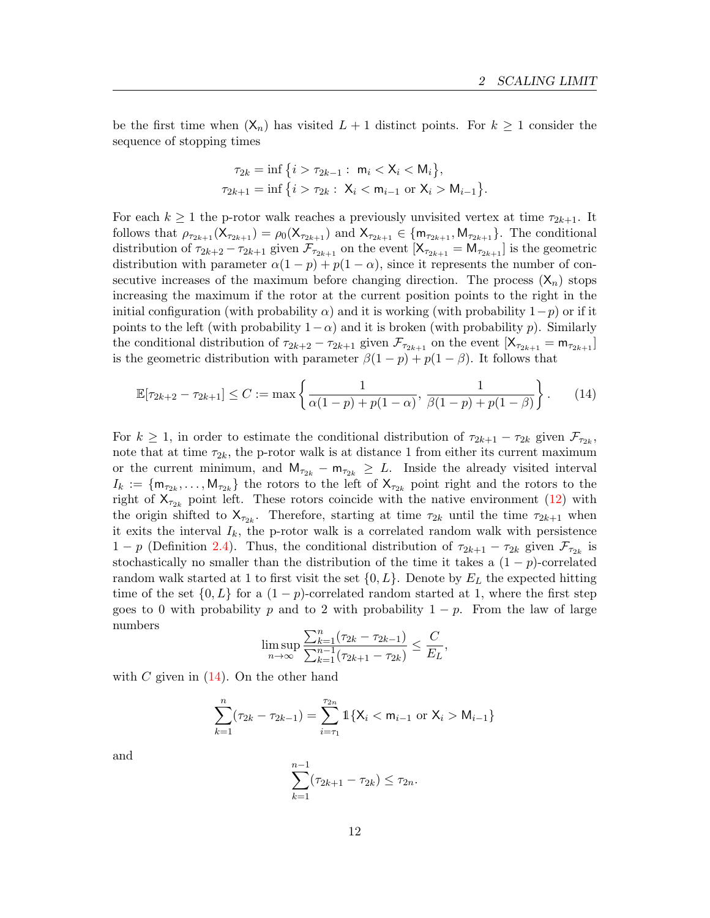be the first time when  $(X_n)$  has visited  $L + 1$  distinct points. For  $k \geq 1$  consider the sequence of stopping times

<span id="page-11-0"></span>
$$
\tau_{2k} = \inf \left\{ i > \tau_{2k-1} : \ m_i < X_i < M_i \right\},\
$$
  

$$
\tau_{2k+1} = \inf \left\{ i > \tau_{2k} : \ X_i < m_{i-1} \text{ or } X_i > M_{i-1} \right\}.
$$

For each  $k \geq 1$  the p-rotor walk reaches a previously unvisited vertex at time  $\tau_{2k+1}$ . It follows that  $\rho_{\tau_{2k+1}}(\mathsf{X}_{\tau_{2k+1}}) = \rho_0(\mathsf{X}_{\tau_{2k+1}})$  and  $\mathsf{X}_{\tau_{2k+1}} \in {\mathsf{m}}_{\tau_{2k+1}}, \mathsf{M}_{\tau_{2k+1}}$ . The conditional distribution of  $\tau_{2k+2} - \tau_{2k+1}$  given  $\mathcal{F}_{\tau_{2k+1}}$  on the event  $[X_{\tau_{2k+1}} = M_{\tau_{2k+1}}]$  is the geometric distribution with parameter  $\alpha(1 - p) + p(1 - \alpha)$ , since it represents the number of consecutive increases of the maximum before changing direction. The process  $(X_n)$  stops increasing the maximum if the rotor at the current position points to the right in the initial configuration (with probability  $\alpha$ ) and it is working (with probability  $1-p$ ) or if it points to the left (with probability  $1-\alpha$ ) and it is broken (with probability p). Similarly the conditional distribution of  $\tau_{2k+2} - \tau_{2k+1}$  given  $\mathcal{F}_{\tau_{2k+1}}$  on the event  $[X_{\tau_{2k+1}} = m_{\tau_{2k+1}}]$ is the geometric distribution with parameter  $\beta(1 - p) + p(1 - \beta)$ . It follows that

$$
\mathbb{E}[\tau_{2k+2} - \tau_{2k+1}] \le C := \max\left\{\frac{1}{\alpha(1-p) + p(1-\alpha)}, \frac{1}{\beta(1-p) + p(1-\beta)}\right\}.
$$
 (14)

For  $k \geq 1$ , in order to estimate the conditional distribution of  $\tau_{2k+1} - \tau_{2k}$  given  $\mathcal{F}_{\tau_{2k}}$ , note that at time  $\tau_{2k}$ , the p-rotor walk is at distance 1 from either its current maximum or the current minimum, and  $M_{\tau_{2k}} - m_{\tau_{2k}} \geq L$ . Inside the already visited interval  $I_k := \{ \mathsf{m}_{\tau_{2k}}, \ldots, \mathsf{M}_{\tau_{2k}} \}$  the rotors to the left of  $\mathsf{X}_{\tau_{2k}}$  point right and the rotors to the right of  $X_{\tau_{2k}}$  point left. These rotors coincide with the native environment [\(12\)](#page-9-1) with the origin shifted to  $X_{\tau_{2k}}$ . Therefore, starting at time  $\tau_{2k}$  until the time  $\tau_{2k+1}$  when it exits the interval  $I_k$ , the p-rotor walk is a correlated random walk with persistence 1 − p (Definition [2.4\)](#page-9-2). Thus, the conditional distribution of  $\tau_{2k+1} - \tau_{2k}$  given  $\mathcal{F}_{\tau_{2k}}$  is stochastically no smaller than the distribution of the time it takes a  $(1 - p)$ -correlated random walk started at 1 to first visit the set  $\{0, L\}$ . Denote by  $E_L$  the expected hitting time of the set  $\{0, L\}$  for a  $(1 - p)$ -correlated random started at 1, where the first step goes to 0 with probability p and to 2 with probability  $1 - p$ . From the law of large numbers

$$
\limsup_{n \to \infty} \frac{\sum_{k=1}^{n} (\tau_{2k} - \tau_{2k-1})}{\sum_{k=1}^{n-1} (\tau_{2k+1} - \tau_{2k})} \leq \frac{C}{E_L},
$$

with  $C$  given in  $(14)$ . On the other hand

$$
\sum_{k=1}^{n} (\tau_{2k} - \tau_{2k-1}) = \sum_{i=\tau_1}^{\tau_{2n}} \mathbb{1}\{X_i < m_{i-1} \text{ or } X_i > M_{i-1}\}
$$

and

$$
\sum_{k=1}^{n-1} (\tau_{2k+1} - \tau_{2k}) \le \tau_{2n}.
$$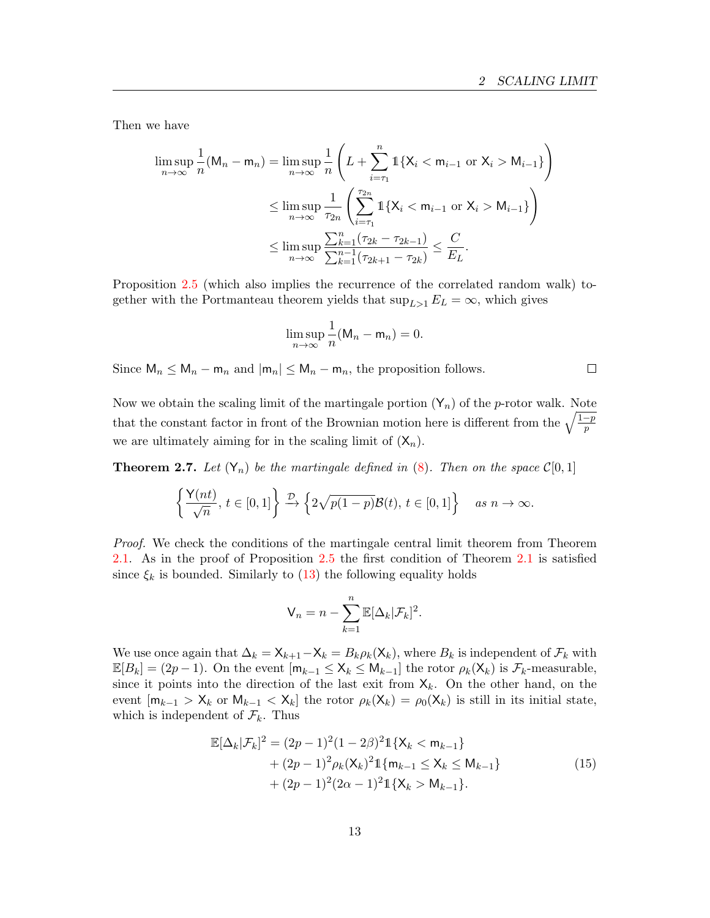$\Box$ 

Then we have

$$
\limsup_{n \to \infty} \frac{1}{n} (M_n - m_n) = \limsup_{n \to \infty} \frac{1}{n} \left( L + \sum_{i=\tau_1}^n \mathbb{1} \{ X_i < m_{i-1} \text{ or } X_i > M_{i-1} \} \right)
$$
\n
$$
\leq \limsup_{n \to \infty} \frac{1}{\tau_{2n}} \left( \sum_{i=\tau_1}^{\tau_{2n}} \mathbb{1} \{ X_i < m_{i-1} \text{ or } X_i > M_{i-1} \} \right)
$$
\n
$$
\leq \limsup_{n \to \infty} \frac{\sum_{k=1}^n (\tau_{2k} - \tau_{2k-1})}{\sum_{k=1}^{n-1} (\tau_{2k+1} - \tau_{2k})} \leq \frac{C}{E_L}.
$$

Proposition [2.5](#page-9-3) (which also implies the recurrence of the correlated random walk) together with the Portmanteau theorem yields that  $\sup_{L>1} E_L = \infty$ , which gives

$$
\limsup_{n\to\infty}\frac{1}{n}(\mathsf{M}_n-\mathsf{m}_n)=0.
$$

Since  $\mathsf{M}_n \leq \mathsf{M}_n - \mathsf{m}_n$  and  $|\mathsf{m}_n| \leq \mathsf{M}_n - \mathsf{m}_n$ , the proposition follows.

Now we obtain the scaling limit of the martingale portion  $(Y_n)$  of the *p*-rotor walk. Note that the constant factor in front of the Brownian motion here is different from the  $\sqrt{\frac{1-p}{p}}$ we are ultimately aiming for in the scaling limit of  $(X_n)$ .

<span id="page-12-1"></span>**Theorem 2.7.** Let  $(Y_n)$  be the martingale defined in [\(8\)](#page-6-4). Then on the space  $\mathcal{C}[0,1]$ 

$$
\left\{\frac{\mathsf{Y}(nt)}{\sqrt{n}},\, t \in [0,1]\right\} \xrightarrow{\mathcal{D}} \left\{2\sqrt{p(1-p)}\mathcal{B}(t),\, t \in [0,1]\right\} \quad \text{as } n \to \infty.
$$

Proof. We check the conditions of the martingale central limit theorem from Theorem [2.1.](#page-6-3) As in the proof of Proposition [2.5](#page-9-3) the first condition of Theorem [2.1](#page-6-3) is satisfied since  $\xi_k$  is bounded. Similarly to [\(13\)](#page-10-0) the following equality holds

$$
\mathsf{V}_n = n - \sum_{k=1}^n \mathbb{E}[\Delta_k | \mathcal{F}_k]^2.
$$

We use once again that  $\Delta_k = \mathsf{X}_{k+1} - \mathsf{X}_k = B_k \rho_k(\mathsf{X}_k)$ , where  $B_k$  is independent of  $\mathcal{F}_k$  with  $\mathbb{E}[B_k] = (2p-1)$ . On the event  $[m_{k-1} \leq X_k \leq M_{k-1}]$  the rotor  $\rho_k(X_k)$  is  $\mathcal{F}_k$ -measurable, since it points into the direction of the last exit from  $X_k$ . On the other hand, on the event  $[m_{k-1} > X_k$  or  $M_{k-1} < X_k]$  the rotor  $\rho_k(X_k) = \rho_0(X_k)$  is still in its initial state, which is independent of  $\mathcal{F}_k$ . Thus

<span id="page-12-0"></span>
$$
\mathbb{E}[\Delta_k|\mathcal{F}_k]^2 = (2p-1)^2(1-2\beta)^2 \mathbb{1}\{X_k < m_{k-1}\}\n+ (2p-1)^2 \rho_k (X_k)^2 \mathbb{1}\{m_{k-1} \le X_k \le M_{k-1}\}\n+ (2p-1)^2 (2\alpha - 1)^2 \mathbb{1}\{X_k > M_{k-1}\}.
$$
\n(15)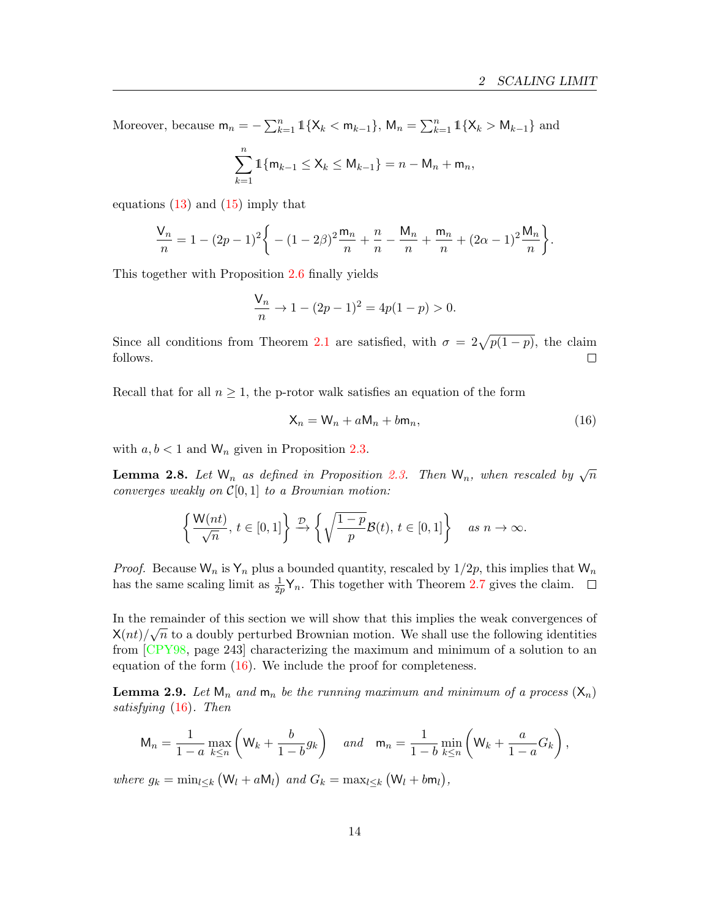Moreover, because  $m_n = -\sum_{k=1}^n \mathbb{1}\{X_k < m_{k-1}\}$ ,  $M_n = \sum_{k=1}^n \mathbb{1}\{X_k > M_{k-1}\}\$  and

$$
\sum_{k=1}^{n} \mathbb{1}\{m_{k-1} \le X_k \le M_{k-1}\} = n - M_n + m_n,
$$

equations  $(13)$  and  $(15)$  imply that

$$
\frac{V_n}{n} = 1 - (2p - 1)^2 \bigg\{ - (1 - 2\beta)^2 \frac{m_n}{n} + \frac{n}{n} - \frac{M_n}{n} + \frac{m_n}{n} + (2\alpha - 1)^2 \frac{M_n}{n} \bigg\}.
$$

This together with Proposition [2.6](#page-10-1) finally yields

$$
\frac{V_n}{n} \to 1 - (2p - 1)^2 = 4p(1 - p) > 0.
$$

Since all conditions from Theorem [2.1](#page-6-3) are satisfied, with  $\sigma = 2\sqrt{p(1-p)}$ , the claim follows.  $\Box$ 

Recall that for all  $n \geq 1$ , the p-rotor walk satisfies an equation of the form

<span id="page-13-0"></span>
$$
X_n = W_n + aM_n + b m_n, \qquad (16)
$$

with  $a, b < 1$  and  $W_n$  given in Proposition [2.3.](#page-8-0)

<span id="page-13-2"></span>**Lemma 2.8.** Let  $W_n$  as defined in Proposition [2.3.](#page-8-0) Then  $W_n$ , when rescaled by  $\sqrt{n}$ converges weakly on  $\mathcal{C}[0, 1]$  to a Brownian motion:

$$
\left\{\frac{\mathsf{W}(nt)}{\sqrt{n}},\,t\in[0,1]\right\}\xrightarrow{\mathcal{D}}\left\{\sqrt{\frac{1-p}{p}}\mathcal{B}(t),\,t\in[0,1]\right\}\quad\text{as}\;n\to\infty.
$$

*Proof.* Because  $W_n$  is  $Y_n$  plus a bounded quantity, rescaled by  $1/2p$ , this implies that  $W_n$ has the same scaling limit as  $\frac{1}{2p}\mathsf{Y}_n$ . This together with Theorem [2.7](#page-12-1) gives the claim.

In the remainder of this section we will show that this implies the weak convergences of  $\mathcal{Y}(\cdot)$ ,  $\overline{(\cdot)}$  $X(nt)/\sqrt{n}$  to a doubly perturbed Brownian motion. We shall use the following identities from [\[CPY98,](#page-20-6) page 243] characterizing the maximum and minimum of a solution to an equation of the form [\(16\)](#page-13-0). We include the proof for completeness.

<span id="page-13-1"></span>**Lemma 2.9.** Let  $\mathsf{M}_n$  and  $\mathsf{m}_n$  be the running maximum and minimum of a process  $(\mathsf{X}_n)$ satisfying [\(16\)](#page-13-0). Then

$$
\mathsf{M}_n = \frac{1}{1-a} \max_{k \leq n} \left( \mathsf{W}_k + \frac{b}{1-b} g_k \right) \quad \text{and} \quad \mathsf{m}_n = \frac{1}{1-b} \min_{k \leq n} \left( \mathsf{W}_k + \frac{a}{1-a} G_k \right),
$$

where  $g_k = \min_{l \leq k} (W_l + aW_l)$  and  $G_k = \max_{l \leq k} (W_l + bW_l)$ ,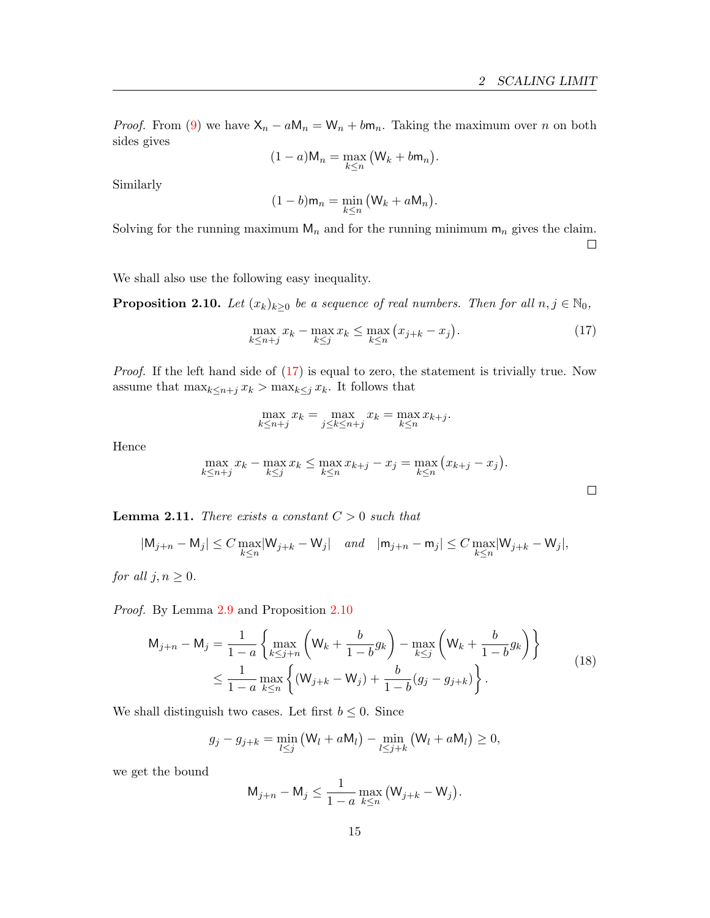*Proof.* From [\(9\)](#page-8-1) we have  $X_n - aM_n = W_n + b m_n$ . Taking the maximum over *n* on both sides gives

$$
(1-a) \mathsf{M}_n = \max_{k \leq n} \big( \mathsf{W}_k + b \mathsf{m}_n \big).
$$

Similarly

<span id="page-14-0"></span>
$$
(1-b)m_n = \min_{k \leq n} (W_k + aM_n).
$$

Solving for the running maximum  $M_n$  and for the running minimum  $m_n$  gives the claim.  $\Box$ 

<span id="page-14-1"></span>We shall also use the following easy inequality.

**Proposition 2.10.** Let  $(x_k)_{k\geq 0}$  be a sequence of real numbers. Then for all  $n, j \in \mathbb{N}_0$ ,

$$
\max_{k \le n+j} x_k - \max_{k \le j} x_k \le \max_{k \le n} (x_{j+k} - x_j). \tag{17}
$$

Proof. If the left hand side of [\(17\)](#page-14-0) is equal to zero, the statement is trivially true. Now assume that  $\max_{k \leq n+j} x_k > \max_{k \leq j} x_k$ . It follows that

$$
\max_{k \le n+j} x_k = \max_{j \le k \le n+j} x_k = \max_{k \le n} x_{k+j}.
$$

Hence

$$
\max_{k \le n+j} x_k - \max_{k \le j} x_k \le \max_{k \le n} x_{k+j} - x_j = \max_{k \le n} (x_{k+j} - x_j).
$$

<span id="page-14-3"></span>**Lemma 2.11.** There exists a constant  $C > 0$  such that

$$
|\mathsf{M}_{j+n}-\mathsf{M}_{j}|\leq C\max_{k\leq n}|\mathsf{W}_{j+k}-\mathsf{W}_{j}|\quad \text{and}\quad |\mathsf{m}_{j+n}-\mathsf{m}_{j}|\leq C\max_{k\leq n}|\mathsf{W}_{j+k}-\mathsf{W}_{j}|,
$$

for all  $j, n \geq 0$ .

Proof. By Lemma [2.9](#page-13-1) and Proposition [2.10](#page-14-1)

$$
\mathsf{M}_{j+n} - \mathsf{M}_{j} = \frac{1}{1-a} \left\{ \max_{k \leq j+n} \left( \mathsf{W}_{k} + \frac{b}{1-b} g_{k} \right) - \max_{k \leq j} \left( \mathsf{W}_{k} + \frac{b}{1-b} g_{k} \right) \right\} \n\leq \frac{1}{1-a} \max_{k \leq n} \left\{ (\mathsf{W}_{j+k} - \mathsf{W}_{j}) + \frac{b}{1-b} (g_{j} - g_{j+k}) \right\}.
$$
\n(18)

We shall distinguish two cases. Let first  $b \leq 0$ . Since

$$
g_j - g_{j+k} = \min_{l \leq j} \left( \mathsf{W}_l + a \mathsf{M}_l \right) - \min_{l \leq j+k} \left( \mathsf{W}_l + a \mathsf{M}_l \right) \geq 0,
$$

we get the bound

<span id="page-14-2"></span>
$$
M_{j+n} - M_j \le \frac{1}{1-a} \max_{k \le n} (W_{j+k} - W_j).
$$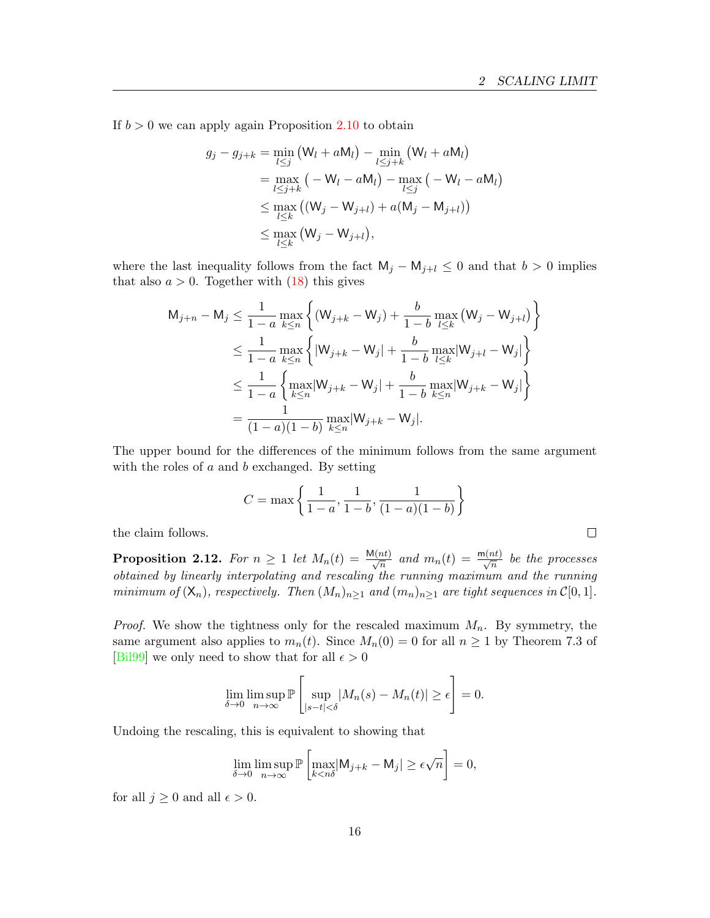$\Box$ 

If  $b > 0$  we can apply again Proposition [2.10](#page-14-1) to obtain

$$
g_j - g_{j+k} = \min_{l \leq j} (W_l + aM_l) - \min_{l \leq j+k} (W_l + aM_l)
$$
  
= 
$$
\max_{l \leq j+k} (-W_l - aM_l) - \max_{l \leq j} (-W_l - aM_l)
$$
  

$$
\leq \max_{l \leq k} ((W_j - W_{j+l}) + a(M_j - M_{j+l}))
$$
  

$$
\leq \max_{l \leq k} (W_j - W_{j+l}),
$$

where the last inequality follows from the fact  $M_j - M_{j+l} \leq 0$  and that  $b > 0$  implies that also  $a > 0$ . Together with  $(18)$  this gives

$$
M_{j+n} - M_j \le \frac{1}{1-a} \max_{k \le n} \left\{ (W_{j+k} - W_j) + \frac{b}{1-b} \max_{l \le k} (W_j - W_{j+l}) \right\}
$$
  

$$
\le \frac{1}{1-a} \max_{k \le n} \left\{ |W_{j+k} - W_j| + \frac{b}{1-b} \max_{l \le k} |W_{j+l} - W_j| \right\}
$$
  

$$
\le \frac{1}{1-a} \left\{ \max_{k \le n} |W_{j+k} - W_j| + \frac{b}{1-b} \max_{k \le n} |W_{j+k} - W_j| \right\}
$$
  

$$
= \frac{1}{(1-a)(1-b)} \max_{k \le n} |W_{j+k} - W_j|.
$$

The upper bound for the differences of the minimum follows from the same argument with the roles of  $a$  and  $b$  exchanged. By setting

$$
C = \max\left\{\frac{1}{1-a}, \frac{1}{1-b}, \frac{1}{(1-a)(1-b)}\right\}
$$

the claim follows.

<span id="page-15-0"></span>**Proposition 2.12.** For  $n \geq 1$  let  $M_n(t) = \frac{M(nt)}{\sqrt{n}}$  and  $m_n(t) = \frac{m(nt)}{\sqrt{n}}$  be the processes obtained by linearly interpolating and rescaling the running maximum and the running minimum of  $(\mathsf{X}_n)$ , respectively. Then  $(M_n)_{n\geq 1}$  and  $(m_n)_{n\geq 1}$  are tight sequences in  $\mathcal{C}[0,1]$ .

*Proof.* We show the tightness only for the rescaled maximum  $M_n$ . By symmetry, the same argument also applies to  $m_n(t)$ . Since  $M_n(0) = 0$  for all  $n \ge 1$  by Theorem 7.3 of [\[Bil99\]](#page-19-5) we only need to show that for all  $\epsilon > 0$ 

$$
\lim_{\delta \to 0} \limsup_{n \to \infty} \mathbb{P}\left[\sup_{|s-t| < \delta} |M_n(s) - M_n(t)| \ge \epsilon\right] = 0.
$$

Undoing the rescaling, this is equivalent to showing that

$$
\lim_{\delta \to 0} \limsup_{n \to \infty} \mathbb{P}\left[\max_{k < n\delta} |M_{j+k} - M_j| \ge \epsilon \sqrt{n}\right] = 0,
$$

for all  $j \geq 0$  and all  $\epsilon > 0$ .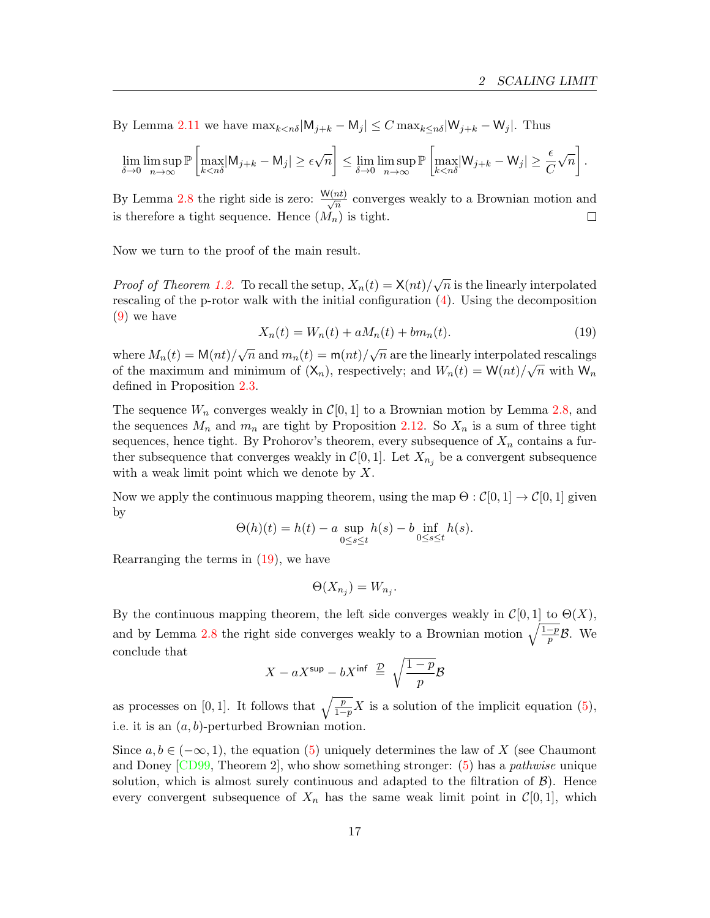By Lemma [2.11](#page-14-3) we have  $\max_{k \leq n\delta} |M_{j+k} - M_j| \leq C \max_{k \leq n\delta} |W_{j+k} - W_j|$ . Thus

$$
\lim_{\delta \to 0} \limsup_{n \to \infty} \mathbb{P}\left[\max_{k < n\delta} |{\mathsf M}_{j+k} - {\mathsf M}_{j}| \ge \epsilon \sqrt{n}\right] \le \lim_{\delta \to 0} \limsup_{n \to \infty} \mathbb{P}\left[\max_{k < n\delta} |{\mathsf W}_{j+k} - {\mathsf W}_{j}| \ge \frac{\epsilon}{C}\sqrt{n}\right].
$$

By Lemma [2.8](#page-13-2) the right side is zero:  $\frac{W(nt)}{\sqrt{n}}$  converges weakly to a Brownian motion and is therefore a tight sequence. Hence  $(M_n)$  is tight.  $\Box$ 

Now we turn to the proof of the main result.

<span id="page-16-0"></span>*Proof of Theorem [1.2.](#page-2-2)* To recall the setup,  $X_n(t) = \frac{\mathsf{X}(nt)}{\sqrt{n}}$  is the linearly interpolated rescaling of the p-rotor walk with the initial configuration [\(4\)](#page-2-0). Using the decomposition [\(9\)](#page-8-1) we have

$$
X_n(t) = W_n(t) + aM_n(t) + bm_n(t).
$$
 (19)

where  $M_n(t) = M(nt)/\sqrt{n}$  and  $m_n(t) = m(nt)/\sqrt{n}$  are the linearly interpolated rescalings of the maximum and minimum of  $(X_n)$ , respectively; and  $W_n(t) = W(nt)/\sqrt{n}$  with  $W_n$ defined in Proposition [2.3.](#page-8-0)

The sequence  $W_n$  converges weakly in  $\mathcal{C}[0, 1]$  to a Brownian motion by Lemma [2.8,](#page-13-2) and the sequences  $M_n$  and  $m_n$  are tight by Proposition [2.12.](#page-15-0) So  $X_n$  is a sum of three tight sequences, hence tight. By Prohorov's theorem, every subsequence of  $X_n$  contains a further subsequence that converges weakly in  $\mathcal{C}[0, 1]$ . Let  $X_{n_i}$  be a convergent subsequence with a weak limit point which we denote by  $X$ .

Now we apply the continuous mapping theorem, using the map  $\Theta : \mathcal{C}[0, 1] \to \mathcal{C}[0, 1]$  given by

$$
\Theta(h)(t) = h(t) - a \sup_{0 \le s \le t} h(s) - b \inf_{0 \le s \le t} h(s).
$$

Rearranging the terms in [\(19\)](#page-16-0), we have

$$
\Theta(X_{n_j}) = W_{n_j}.
$$

By the continuous mapping theorem, the left side converges weakly in  $\mathcal{C}[0, 1]$  to  $\Theta(X)$ , and by Lemma [2.8](#page-13-2) the right side converges weakly to a Brownian motion  $\sqrt{\frac{1-p}{p}}\mathcal{B}$ . We conclude that

$$
X - aX^{\text{sup}} - bX^{\text{inf}} \stackrel{\mathcal{D}}{=} \sqrt{\frac{1-p}{p}} \mathcal{B}
$$

as processes on [0, 1]. It follows that  $\sqrt{\frac{p}{1-p}}X$  is a solution of the implicit equation [\(5\)](#page-2-1), i.e. it is an  $(a, b)$ -perturbed Brownian motion.

Since  $a, b \in (-\infty, 1)$ , the equation [\(5\)](#page-2-1) uniquely determines the law of X (see Chaumont and Doney [\[CD99,](#page-19-0) Theorem 2], who show something stronger: [\(5\)](#page-2-1) has a pathwise unique solution, which is almost surely continuous and adapted to the filtration of  $\mathcal{B}$ ). Hence every convergent subsequence of  $X_n$  has the same weak limit point in  $\mathcal{C}[0,1]$ , which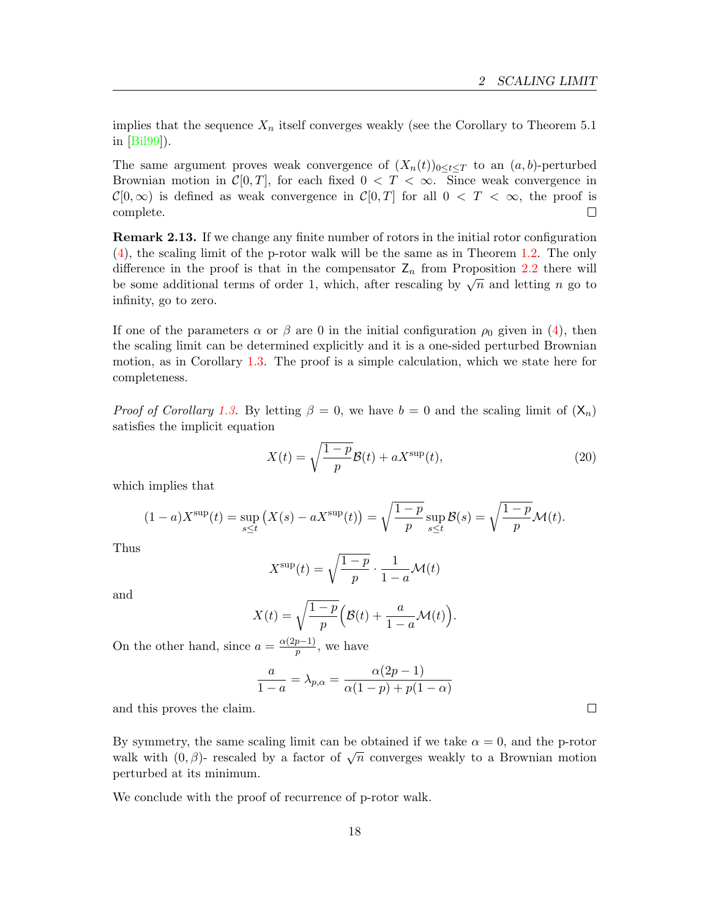implies that the sequence  $X_n$  itself converges weakly (see the Corollary to Theorem 5.1) in [\[Bil99\]](#page-19-5)).

The same argument proves weak convergence of  $(X_n(t))_{0 \leq t \leq T}$  to an  $(a, b)$ -perturbed Brownian motion in  $\mathcal{C}[0,T]$ , for each fixed  $0 < T < \infty$ . Since weak convergence in  $\mathcal{C}[0,\infty)$  is defined as weak convergence in  $\mathcal{C}[0,T]$  for all  $0 < T < \infty$ , the proof is complete.  $\Box$ 

<span id="page-17-0"></span>Remark 2.13. If we change any finite number of rotors in the initial rotor configuration [\(4\)](#page-2-0), the scaling limit of the p-rotor walk will be the same as in Theorem [1.2.](#page-2-2) The only difference in the proof is that in the compensator  $\mathsf{Z}_n$  from Proposition [2.2](#page-6-2) there will be some additional terms of order 1, which, after rescaling by  $\sqrt{n}$  and letting *n* go to infinity, go to zero.

If one of the parameters  $\alpha$  or  $\beta$  are 0 in the initial configuration  $\rho_0$  given in [\(4\)](#page-2-0), then the scaling limit can be determined explicitly and it is a one-sided perturbed Brownian motion, as in Corollary [1.3.](#page-3-0) The proof is a simple calculation, which we state here for completeness.

*Proof of Corollary [1.3.](#page-3-0)* By letting  $\beta = 0$ , we have  $b = 0$  and the scaling limit of  $(X_n)$ satisfies the implicit equation

$$
X(t) = \sqrt{\frac{1-p}{p}} \mathcal{B}(t) + aX^{\text{sup}}(t),
$$
\n(20)

which implies that

$$
(1-a)X^{\sup}(t) = \sup_{s\leq t} (X(s) - aX^{\sup}(t)) = \sqrt{\frac{1-p}{p}} \sup_{s\leq t} \mathcal{B}(s) = \sqrt{\frac{1-p}{p}} \mathcal{M}(t).
$$

Thus

$$
X^{\text{sup}}(t) = \sqrt{\frac{1-p}{p}} \cdot \frac{1}{1-a} \mathcal{M}(t)
$$

and

$$
X(t) = \sqrt{\frac{1-p}{p}} \Big( \mathcal{B}(t) + \frac{a}{1-a} \mathcal{M}(t) \Big).
$$

On the other hand, since  $a = \frac{\alpha(2p-1)}{n}$  $\frac{p-1}{p}$ , we have

$$
\frac{a}{1-a} = \lambda_{p,\alpha} = \frac{\alpha(2p-1)}{\alpha(1-p) + p(1-\alpha)}
$$

and this proves the claim.

By symmetry, the same scaling limit can be obtained if we take  $\alpha = 0$ , and the p-rotor By symmetry, the same scaling mint can be obtained if we take  $\alpha = 0$ , and the p-rotor walk with  $(0, \beta)$ - rescaled by a factor of  $\sqrt{n}$  converges weakly to a Brownian motion perturbed at its minimum.

We conclude with the proof of recurrence of p-rotor walk.

 $\Box$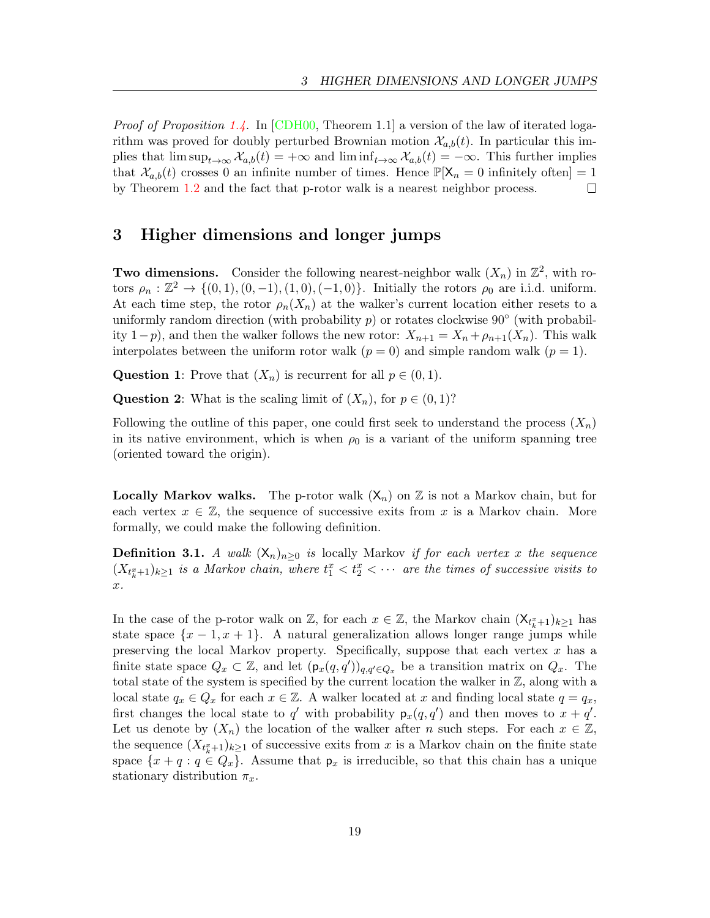*Proof of Proposition [1.4.](#page-3-1)* In [\[CDH00,](#page-19-1) Theorem 1.1] a version of the law of iterated logarithm was proved for doubly perturbed Brownian motion  $\mathcal{X}_{a,b}(t)$ . In particular this implies that  $\limsup_{t\to\infty} \mathcal{X}_{a,b}(t) = +\infty$  and  $\liminf_{t\to\infty} \mathcal{X}_{a,b}(t) = -\infty$ . This further implies that  $\mathcal{X}_{a,b}(t)$  crosses 0 an infinite number of times. Hence  $\mathbb{P}[\mathsf{X}_n = 0$  infinitely often $] = 1$ by Theorem [1.2](#page-2-2) and the fact that p-rotor walk is a nearest neighbor process.  $\Box$ 

### <span id="page-18-0"></span>3 Higher dimensions and longer jumps

**Two dimensions.** Consider the following nearest-neighbor walk  $(X_n)$  in  $\mathbb{Z}^2$ , with rotors  $\rho_n : \mathbb{Z}^2 \to \{(0,1), (0,-1), (1,0), (-1,0)\}.$  Initially the rotors  $\rho_0$  are i.i.d. uniform. At each time step, the rotor  $\rho_n(X_n)$  at the walker's current location either resets to a uniformly random direction (with probability  $p$ ) or rotates clockwise 90 $^{\circ}$  (with probability 1−p), and then the walker follows the new rotor:  $X_{n+1} = X_n + \rho_{n+1}(X_n)$ . This walk interpolates between the uniform rotor walk  $(p = 0)$  and simple random walk  $(p = 1)$ .

Question 1: Prove that  $(X_n)$  is recurrent for all  $p \in (0,1)$ .

**Question 2:** What is the scaling limit of  $(X_n)$ , for  $p \in (0, 1)$ ?

Following the outline of this paper, one could first seek to understand the process  $(X_n)$ in its native environment, which is when  $\rho_0$  is a variant of the uniform spanning tree (oriented toward the origin).

**Locally Markov walks.** The p-rotor walk  $(X_n)$  on  $\mathbb Z$  is not a Markov chain, but for each vertex  $x \in \mathbb{Z}$ , the sequence of successive exits from x is a Markov chain. More formally, we could make the following definition.

**Definition 3.1.** A walk  $(X_n)_{n>0}$  is locally Markov if for each vertex x the sequence  $(X_{t_k^x+1})_{k\geq 1}$  is a Markov chain, where  $t_1^x < t_2^x < \cdots$  are the times of successive visits to .

In the case of the p-rotor walk on  $\mathbb{Z}$ , for each  $x \in \mathbb{Z}$ , the Markov chain  $(\mathsf{X}_{t_k^x+1})_{k\geq 1}$  has state space  $\{x-1, x+1\}$ . A natural generalization allows longer range jumps while preserving the local Markov property. Specifically, suppose that each vertex  $x$  has a finite state space  $Q_x \subset \mathbb{Z}$ , and let  $(\mathsf{p}_x(q, q'))_{q, q' \in Q_x}$  be a transition matrix on  $Q_x$ . The total state of the system is specified by the current location the walker in ℤ, along with a local state  $q_x \in Q_x$  for each  $x \in \mathbb{Z}$ . A walker located at x and finding local state  $q = q_x$ , first changes the local state to  $q'$  with probability  $p_x(q, q')$  and then moves to  $x + q'$ . Let us denote by  $(X_n)$  the location of the walker after n such steps. For each  $x \in \mathbb{Z}$ , the sequence  $(X_{t_k^x+1})_{k\geq 1}$  of successive exits from x is a Markov chain on the finite state space  $\{x + q : q \in Q_x\}$ . Assume that  $p_x$  is irreducible, so that this chain has a unique stationary distribution  $\pi_x$ .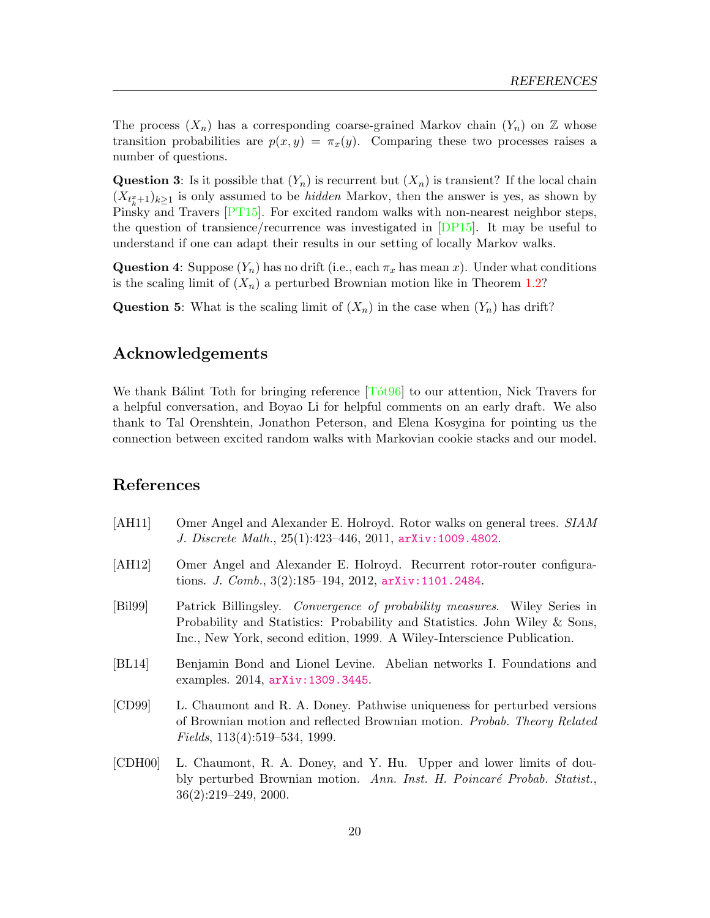The process  $(X_n)$  has a corresponding coarse-grained Markov chain  $(Y_n)$  on  $\mathbb Z$  whose transition probabilities are  $p(x, y) = \pi_x(y)$ . Comparing these two processes raises a number of questions.

**Question 3:** Is it possible that  $(Y_n)$  is recurrent but  $(X_n)$  is transient? If the local chain  $(X_{t_k^x+1})_{k\geq 1}$  is only assumed to be *hidden* Markov, then the answer is yes, as shown by Pinsky and Travers [\[PT15\]](#page-21-6). For excited random walks with non-nearest neighbor steps, the question of transience/recurrence was investigated in [\[DP15\]](#page-20-11). It may be useful to understand if one can adapt their results in our setting of locally Markov walks.

**Question 4:** Suppose  $(Y_n)$  has no drift (i.e., each  $\pi_x$  has mean x). Under what conditions is the scaling limit of  $(X_n)$  a perturbed Brownian motion like in Theorem [1.2?](#page-2-2)

**Question 5:** What is the scaling limit of  $(X_n)$  in the case when  $(Y_n)$  has drift?

### Acknowledgements

We thank Ba $\chi$  Toth for bringing reference  $\Gamma$  (Tot 96) to our attention, Nick Travers for a helpful conversation, and Boyao Li for helpful comments on an early draft. We also thank to Tal Orenshtein, Jonathon Peterson, and Elena Kosygina for pointing us the connection between excited random walks with Markovian cookie stacks and our model.

## References

- <span id="page-19-2"></span>[AH11] Omer Angel and Alexander E. Holroyd. Rotor walks on general trees. SIAM J. Discrete Math., 25(1):423–446, 2011, [arXiv:1009.4802](http://arxiv.org/abs/1009.4802).
- <span id="page-19-3"></span>[AH12] Omer Angel and Alexander E. Holroyd. Recurrent rotor-router configurations. J. Comb., 3(2):185–194, 2012, [arXiv:1101.2484](http://arxiv.org/abs/1101.2484).
- <span id="page-19-5"></span>[Bil99] Patrick Billingsley. Convergence of probability measures. Wiley Series in Probability and Statistics: Probability and Statistics. John Wiley & Sons, Inc., New York, second edition, 1999. A Wiley-Interscience Publication.
- <span id="page-19-4"></span>[BL14] Benjamin Bond and Lionel Levine. Abelian networks I. Foundations and examples. 2014, [arXiv:1309.3445](http://arxiv.org/abs/1309.3445).
- <span id="page-19-0"></span>[CD99] L. Chaumont and R. A. Doney. Pathwise uniqueness for perturbed versions of Brownian motion and reflected Brownian motion. Probab. Theory Related Fields, 113(4):519–534, 1999.
- <span id="page-19-1"></span>[CDH00] L. Chaumont, R. A. Doney, and Y. Hu. Upper and lower limits of doubly perturbed Brownian motion. Ann. Inst. H. Poincaré Probab. Statist., 36(2):219–249, 2000.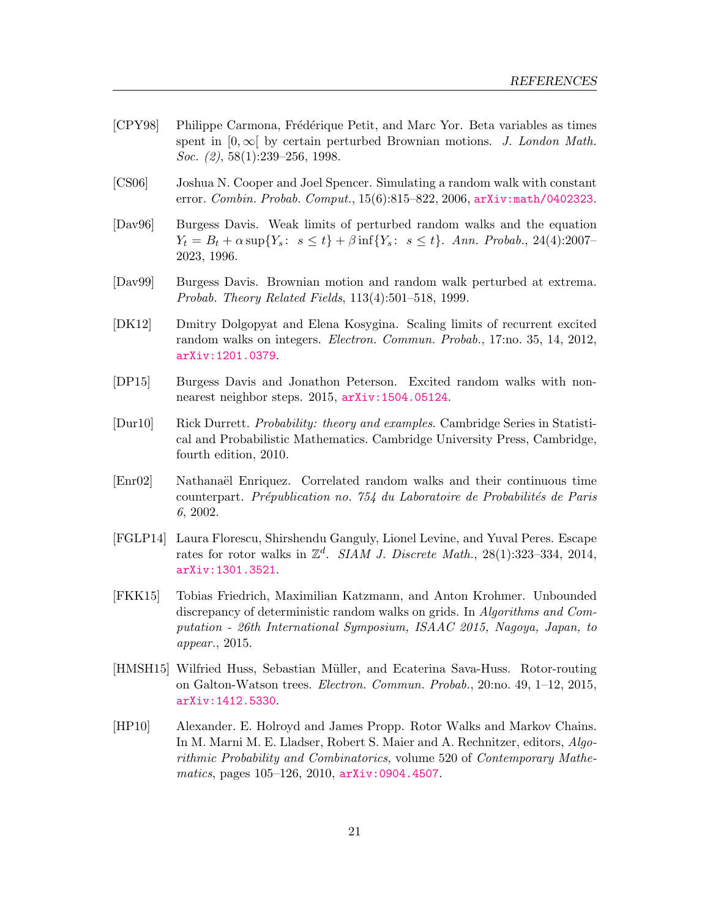- <span id="page-20-6"></span>[CPY98] Philippe Carmona, Frédérique Petit, and Marc Yor. Beta variables as times spent in  $[0, \infty)$  by certain perturbed Brownian motions. J. London Math. Soc. (2), 58(1):239–256, 1998.
- <span id="page-20-0"></span>[CS06] Joshua N. Cooper and Joel Spencer. Simulating a random walk with constant error. Combin. Probab. Comput., 15(6):815–822, 2006, [arXiv:math/0402323](http://arxiv.org/abs/math/0402323).
- <span id="page-20-5"></span>[Dav96] Burgess Davis. Weak limits of perturbed random walks and the equation  $Y_t = B_t + \alpha \sup \{ Y_s : s \le t \} + \beta \inf \{ Y_s : s \le t \}.$  Ann. Probab., 24(4):2007– 2023, 1996.
- <span id="page-20-7"></span>[Dav99] Burgess Davis. Brownian motion and random walk perturbed at extrema. Probab. Theory Related Fields, 113(4):501–518, 1999.
- <span id="page-20-8"></span>[DK12] Dmitry Dolgopyat and Elena Kosygina. Scaling limits of recurrent excited random walks on integers. Electron. Commun. Probab., 17:no. 35, 14, 2012, [arXiv:1201.0379](http://arxiv.org/abs/1201.0379).
- <span id="page-20-11"></span>[DP15] Burgess Davis and Jonathon Peterson. Excited random walks with nonnearest neighbor steps. 2015, [arXiv:1504.05124](http://arxiv.org/abs/1504.05124).
- <span id="page-20-9"></span>[Dur10] Rick Durrett. Probability: theory and examples. Cambridge Series in Statistical and Probabilistic Mathematics. Cambridge University Press, Cambridge, fourth edition, 2010.
- <span id="page-20-10"></span>[Enr02] Nathanaei Enriquez. Correlated random walks and their continuous time counterpart. Prépublication no. 754 du Laboratoire de Probabilités de Paris 6, 2002.
- <span id="page-20-2"></span>[FGLP14] Laura Florescu, Shirshendu Ganguly, Lionel Levine, and Yuval Peres. Escape rates for rotor walks in  $\mathbb{Z}^d$ . SIAM J. Discrete Math., 28(1):323-334, 2014, [arXiv:1301.3521](http://arxiv.org/abs/1301.3521).
- <span id="page-20-4"></span>[FKK15] Tobias Friedrich, Maximilian Katzmann, and Anton Krohmer. Unbounded discrepancy of deterministic random walks on grids. In Algorithms and Computation - 26th International Symposium, ISAAC 2015, Nagoya, Japan, to appear., 2015.
- <span id="page-20-3"></span>[HMSH15] Wilfried Huss, Sebastian Müller, and Ecaterina Sava-Huss. Rotor-routing on Galton-Watson trees. Electron. Commun. Probab., 20:no. 49, 1–12, 2015, [arXiv:1412.5330](http://arxiv.org/abs/1412.5330).
- <span id="page-20-1"></span>[HP10] Alexander. E. Holroyd and James Propp. Rotor Walks and Markov Chains. In M. Marni M. E. Lladser, Robert S. Maier and A. Rechnitzer, editors, Algorithmic Probability and Combinatorics, volume 520 of Contemporary Mathematics, pages  $105-126$ ,  $2010$ ,  $arXiv:0904.4507$ .